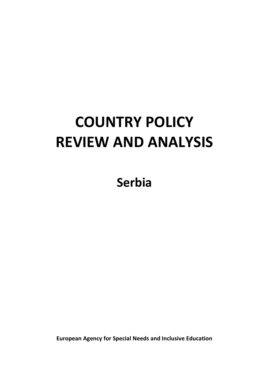# **COUNTRY POLICY REVIEW AND ANALYSIS**

**Serbia**

**European Agency for Special Needs and Inclusive Education**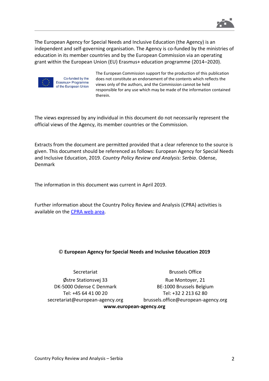

The European Agency for Special Needs and Inclusive Education (the Agency) is an independent and self-governing organisation. The Agency is co-funded by the ministries of education in its member countries and by the European Commission via an operating grant within the European Union (EU) Erasmus+ education programme (2014–2020).



Co-funded by the Erasmus+ Programme of the European Union The European Commission support for the production of this publication does not constitute an endorsement of the contents which reflects the views only of the authors, and the Commission cannot be held responsible for any use which may be made of the information contained therein.

The views expressed by any individual in this document do not necessarily represent the official views of the Agency, its member countries or the Commission.

Extracts from the document are permitted provided that a clear reference to the source is given. This document should be referenced as follows: European Agency for Special Needs and Inclusive Education, 2019. *Country Policy Review and Analysis: Serbia*. Odense, Denmark

The information in this document was current in April 2019.

Further information about the Country Policy Review and Analysis (CPRA) activities is available on the [CPRA web area.](https://www.european-agency.org/projects/country-policy-review-and-analysis)

#### © **European Agency for Special Needs and Inclusive Education 2019**

Secretariat Østre Stationsvej 33 DK-5000 Odense C Denmark Tel: +45 64 41 00 20 [secretariat@european-agency.org](mailto:secretariat@european-agency.org)

Brussels Office Rue Montoyer, 21 BE-1000 Brussels Belgium Tel: +32 2 213 62 80 [brussels.office@european-agency.org](mailto:brussels.office@european-agency.org) **[www.european-agency.org](http://www.european-agency.org/)**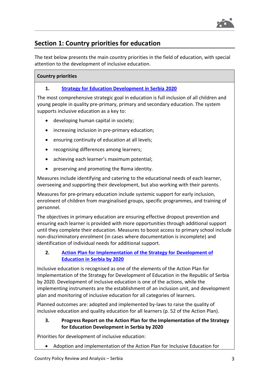

# **Section 1: Country priorities for education**

The text below presents the main country priorities in the field of education, with special attention to the development of inclusive education.

## **Country priorities**

# **1. [Strategy for Education Development in Serbia](https://erasmusplus.rs/wp-content/uploads/2015/03/Strategy-for-Education-Development-in-Serbia-2020.pdf) 2020**

The most comprehensive strategic goal in education is full inclusion of all children and young people in quality pre-primary, primary and secondary education. The system supports inclusive education as a key to:

- developing human capital in society;
- increasing inclusion in pre-primary education;
- ensuring continuity of education at all levels;
- recognising differences among learners;
- achieving each learner's maximum potential;
- preserving and promoting the Roma identity.

Measures include identifying and catering to the educational needs of each learner, overseeing and supporting their development, but also working with their parents.

Measures for pre-primary education include systemic support for early inclusion, enrolment of children from marginalised groups, specific programmes, and training of personnel.

The objectives in primary education are ensuring effective dropout prevention and ensuring each learner is provided with more opportunities through additional support until they complete their education. Measures to boost access to primary school include non-discriminatory enrolment (in cases where documentation is incomplete) and identification of individual needs for additional support.

# **2. [Action Plan for Implementation of the Strategy for](https://erasmusplus.rs/wp-content/uploads/2015/05/Action-plan.doc) Development of [Education in Serbia by 2020](https://erasmusplus.rs/wp-content/uploads/2015/05/Action-plan.doc)**

Inclusive education is recognised as one of the elements of the Action Plan for Implementation of the Strategy for Development of Education in the Republic of Serbia by 2020. Development of inclusive education is one of the actions, while the implementing instruments are the establishment of an inclusion unit, and development plan and monitoring of inclusive education for all categories of learners.

Planned outcomes are: adopted and implemented by-laws to raise the quality of inclusive education and quality education for all learners (p. 52 of the Action Plan).

# **3. Progress Report on the Action Plan for the Implementation of the Strategy for Education Development in Serbia by 2020**

Priorities for development of inclusive education:

• Adoption and implementation of the Action Plan for Inclusive Education for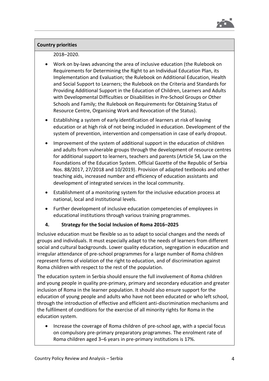

## 2018–2020.

- Work on by-laws advancing the area of inclusive education (the Rulebook on Requirements for Determining the Right to an Individual Education Plan, its Implementation and Evaluation; the Rulebook on Additional Education, Health and Social Support to Learners; the Rulebook on the Criteria and Standards for Providing Additional Support in the Education of Children, Learners and Adults with Developmental Difficulties or Disabilities in Pre-School Groups or Other Schools and Family; the Rulebook on Requirements for Obtaining Status of Resource Centre, Organising Work and Revocation of the Status).
- Establishing a system of early identification of learners at risk of leaving education or at high risk of not being included in education. Development of the system of prevention, intervention and compensation in case of early dropout.
- Improvement of the system of additional support in the education of children and adults from vulnerable groups through the development of resource centres for additional support to learners, teachers and parents (Article 54, Law on the Foundations of the Education System. Official Gazette of the Republic of Serbia Nos. 88/2017, 27/2018 and 10/2019). Provision of adapted textbooks and other teaching aids, increased number and efficiency of education assistants and development of integrated services in the local community.
- Establishment of a monitoring system for the inclusive education process at national, local and institutional levels.
- Further development of inclusive education competencies of employees in educational institutions through various training programmes.

# **4. Strategy for the Social Inclusion of Roma 2016–2025**

Inclusive education must be flexible so as to adapt to social changes and the needs of groups and individuals. It must especially adapt to the needs of learners from different social and cultural backgrounds. Lower quality education, segregation in education and irregular attendance of pre-school programmes for a large number of Roma children represent forms of violation of the right to education, and of discrimination against Roma children with respect to the rest of the population.

The education system in Serbia should ensure the full involvement of Roma children and young people in quality pre-primary, primary and secondary education and greater inclusion of Roma in the learner population. It should also ensure support for the education of young people and adults who have not been educated or who left school, through the introduction of effective and efficient anti-discrimination mechanisms and the fulfilment of conditions for the exercise of all minority rights for Roma in the education system.

• Increase the coverage of Roma children of pre-school age, with a special focus on compulsory pre-primary preparatory programmes. The enrolment rate of Roma children aged 3–6 years in pre-primary institutions is 17%.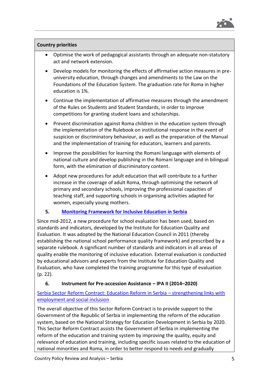

- Optimise the work of pedagogical assistants through an adequate non-statutory act and network extension.
- Develop models for monitoring the effects of affirmative action measures in preuniversity education, through changes and amendments to the Law on the Foundations of the Education System. The graduation rate for Roma in higher education is 1%.
- Continue the implementation of affirmative measures through the amendment of the Rules on Students and Student Standards, in order to improve competitions for granting student loans and scholarships.
- Prevent discrimination against Roma children in the education system through the implementation of the Rulebook on institutional response in the event of suspicion or discriminatory behaviour, as well as the preparation of the Manual and the implementation of training for educators, learners and parents.
- Improve the possibilities for learning the Romani language with elements of national culture and develop publishing in the Romani language and in bilingual form, with the elimination of discriminatory content.
- Adopt new procedures for adult education that will contribute to a further increase in the coverage of adult Roma, through optimising the network of primary and secondary schools, improving the professional capacities of teaching staff, and supporting schools in organising activities adapted for women, especially young mothers.

# **5. [Monitoring Framework for Inclusive Education in Serbia](http://socijalnoukljucivanje.gov.rs/wp-content/uploads/2014/11/Okvir-za-pracenje-inkluzivnog-obrazovanja-u-Srbiji-eng.pdf)**

Since mid-2012, a new procedure for school evaluation has been used, based on standards and indicators, developed by the Institute for Education Quality and Evaluation. It was adopted by the National Education Council in 2011 (thereby establishing the national school performance quality framework) and prescribed by a separate rulebook. A significant number of standards and indicators in all areas of quality enable the monitoring of inclusive education. External evaluation is conducted by educational advisors and experts from the Institute for Education Quality and Evaluation, who have completed the training programme for this type of evaluation (p. 22).

# **6. Instrument for Pre-accession Assistance – IPA II (2014–2020)**

[Serbia Sector Reform Contract: Education Reform in Serbia](https://ec.europa.eu/neighbourhood-enlargement/sites/near/files/ipa2016-039806.09-serbia-sector_reform_contract_education_reform_in_serbia.pdf) – strengthening links with [employment and social inclusion](https://ec.europa.eu/neighbourhood-enlargement/sites/near/files/ipa2016-039806.09-serbia-sector_reform_contract_education_reform_in_serbia.pdf)

The overall objective of this Sector Reform Contract is to provide support to the Government of the Republic of Serbia in implementing the reform of the education system, based on the National Strategy for Education Development in Serbia by 2020. This Sector Reform Contract assists the Government of Serbia in implementing the reform of the education and training system by improving the quality, equity and relevance of education and training, including specific issues related to the education of national minorities and Roma, in order to better respond to needs and gradually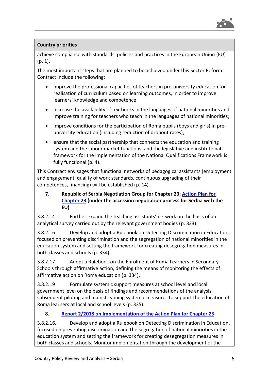

achieve compliance with standards, policies and practices in the European Union (EU)  $(p, 1)$ .

The most important steps that are planned to be achieved under this Sector Reform Contract include the following:

- improve the professional capacities of teachers in pre-university education for realisation of curriculum based on learning outcomes, in order to improve learners' knowledge and competence;
- increase the availability of textbooks in the languages of national minorities and improve training for teachers who teach in the languages of national minorities;
- improve conditions for the participation of Roma pupils (boys and girls) in preuniversity education (including reduction of dropout rates);
- ensure that the social partnership that connects the education and training system and the labour market functions, and the legislative and institutional framework for the implementation of the National Qualifications Framework is fully functional (p. 4).

This Contract envisages that functional networks of pedagogical assistants (employment and engagement, quality of work standards, continuous upgrading of their competences, financing) will be established (p. 14).

# **7. Republic of Serbia Negotiation Group for Chapter 23: [Action Plan for](https://www.mpravde.gov.rs/files/Action%20plan%20Ch%2023.pdf)  [Chapter 23](https://www.mpravde.gov.rs/files/Action%20plan%20Ch%2023.pdf) (under the accession negotiation process for Serbia with the EU)**

3.8.2.14 Further expand the teaching assistants' network on the basis of an analytical survey carried out by the relevant government bodies (p. 333).

3.8.2.16 Develop and adopt a Rulebook on Detecting Discrimination in Education, focused on preventing discrimination and the segregation of national minorities in the education system and setting the framework for creating desegregation measures in both classes and schools (p. 334).

3.8.2.17 Adopt a Rulebook on the Enrolment of Roma Learners in Secondary Schools through affirmative action, defining the means of monitoring the effects of affirmative action on Roma education (p. 334).

3.8.2.19 Formulate systemic support measures at school level and local government level on the basis of findings and recommendations of the analysis, subsequent piloting and mainstreaming systemic measures to support the education of Roma learners at local and school levels (p. 335).

# **8. [Report 2/2018 on Implementation of the Action Plan for Chapter](https://www.mpravde.gov.rs/files/Report%20no.%202-2018%20on%20implementation%20of%20Action%20plan%20for%20Chapter%2023.pdf) 23**

3.8.2.16. Develop and adopt a Rulebook on Detecting Discrimination in Education, focused on preventing discrimination and the segregation of national minorities in the education system and setting the framework for creating desegregation measures in both classes and schools. Monitor implementation through the development of the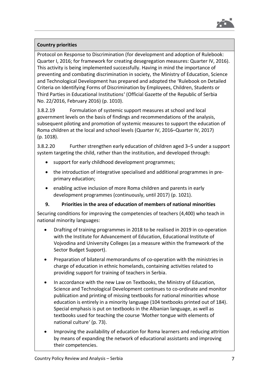

Protocol on Response to Discrimination (for development and adoption of Rulebook: Quarter I, 2016; for framework for creating desegregation measures: Quarter IV, 2016). This activity is being implemented successfully. Having in mind the importance of preventing and combating discrimination in society, the Ministry of Education, Science and Technological Development has prepared and adopted the 'Rulebook on Detailed Criteria on Identifying Forms of Discrimination by Employees, Children, Students or Third Parties in Educational Institutions' (Official Gazette of the Republic of Serbia No. 22/2016, February 2016) (p. 1010).

3.8.2.19 Formulation of systemic support measures at school and local government levels on the basis of findings and recommendations of the analysis, subsequent piloting and promotion of systemic measures to support the education of Roma children at the local and school levels (Quarter IV, 2016–Quarter IV, 2017) (p. 1018).

3.8.2.20 Further strengthen early education of children aged 3–5 under a support system targeting the child, rather than the institution, and developed through:

- support for early childhood development programmes;
- the introduction of integrative specialised and additional programmes in preprimary education;
- enabling active inclusion of more Roma children and parents in early development programmes (continuously, until 2017) (p. 1021).

# **9. Priorities in the area of education of members of national minorities**

Securing conditions for improving the competencies of teachers (4,400) who teach in national minority languages:

- Drafting of training programmes in 2018 to be realised in 2019 in co-operation with the Institute for Advancement of Education, Educational Institute of Vojvodina and University Colleges (as a measure within the framework of the Sector Budget Support).
- Preparation of bilateral memorandums of co-operation with the ministries in charge of education in ethnic homelands, containing activities related to providing support for training of teachers in Serbia.
- In accordance with the new Law on Textbooks, the Ministry of Education, Science and Technological Development continues to co-ordinate and monitor publication and printing of missing textbooks for national minorities whose education is entirely in a minority language (104 textbooks printed out of 184). Special emphasis is put on textbooks in the Albanian language, as well as textbooks used for teaching the course 'Mother tongue with elements of national culture' (p. 73).
- Improving the availability of education for Roma learners and reducing attrition by means of expanding the network of educational assistants and improving their competencies.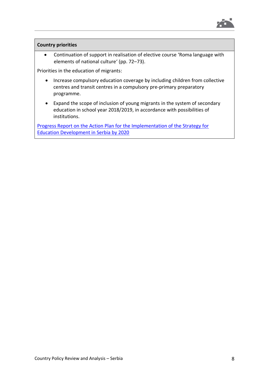

• Continuation of support in realisation of elective course 'Roma language with elements of national culture' (pp. 72–73).

Priorities in the education of migrants:

- Increase compulsory education coverage by including children from collective centres and transit centres in a compulsory pre-primary preparatory programme.
- Expand the scope of inclusion of young migrants in the system of secondary education in school year 2018/2019, in accordance with possibilities of institutions.

Progress Report on the [Action Plan for the Implementation of the Strategy for](http://www.mpn.gov.rs/wp-content/uploads/2018/08/AP-SROS-IZVESTAJ-15jun-Eng.pdf)  [Education Development in Serbia by 2020](http://www.mpn.gov.rs/wp-content/uploads/2018/08/AP-SROS-IZVESTAJ-15jun-Eng.pdf)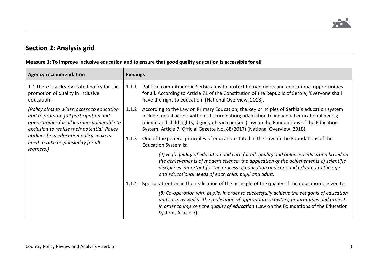

# **Section 2: Analysis grid**

 $\blacksquare$ 

# **Measure 1: To improve inclusive education and to ensure that good quality education is accessible for all**

| <b>Agency recommendation</b>                                                                                                                                                                                                                                                    | <b>Findings</b> |                                                                                                                                                                                                                                                                                                                                                                   |
|---------------------------------------------------------------------------------------------------------------------------------------------------------------------------------------------------------------------------------------------------------------------------------|-----------------|-------------------------------------------------------------------------------------------------------------------------------------------------------------------------------------------------------------------------------------------------------------------------------------------------------------------------------------------------------------------|
| 1.1 There is a clearly stated policy for the<br>promotion of quality in inclusive<br>education.                                                                                                                                                                                 | 1.1.1           | Political commitment in Serbia aims to protect human rights and educational opportunities<br>for all. According to Article 71 of the Constitution of the Republic of Serbia, 'Everyone shall<br>have the right to education' (National Overview, 2018).                                                                                                           |
| (Policy aims to widen access to education<br>and to promote full participation and<br>opportunities for all learners vulnerable to<br>exclusion to realise their potential. Policy<br>outlines how education policy-makers<br>need to take responsibility for all<br>learners.) | 1.1.2           | According to the Law on Primary Education, the key principles of Serbia's education system<br>include: equal access without discrimination; adaptation to individual educational needs;<br>human and child rights; dignity of each person (Law on the Foundations of the Education<br>System, Article 7, Official Gazette No. 88/2017) (National Overview, 2018). |
|                                                                                                                                                                                                                                                                                 | 1.1.3           | One of the general principles of education stated in the Law on the Foundations of the<br><b>Education System is:</b>                                                                                                                                                                                                                                             |
|                                                                                                                                                                                                                                                                                 |                 | (4) High quality of education and care for all; quality and balanced education based on<br>the achievements of modern science, the application of the achievements of scientific<br>disciplines important for the process of education and care and adapted to the age<br>and educational needs of each child, pupil and adult.                                   |
|                                                                                                                                                                                                                                                                                 | 1.1.4           | Special attention in the realisation of the principle of the quality of the education is given to:                                                                                                                                                                                                                                                                |
|                                                                                                                                                                                                                                                                                 |                 | (8) Co-operation with pupils, in order to successfully achieve the set goals of education<br>and care, as well as the realisation of appropriate activities, programmes and projects<br>in order to improve the quality of education (Law on the Foundations of the Education<br>System, Article 7).                                                              |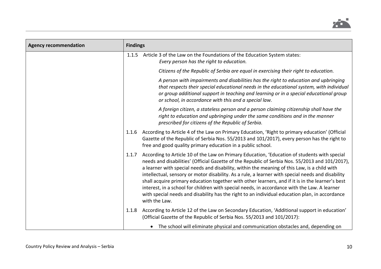

| <b>Agency recommendation</b> | <b>Findings</b> |                                                                                                                                                                                                                                                                                                                                                                                                                                                                                                                                                                                                                                                                                                                             |
|------------------------------|-----------------|-----------------------------------------------------------------------------------------------------------------------------------------------------------------------------------------------------------------------------------------------------------------------------------------------------------------------------------------------------------------------------------------------------------------------------------------------------------------------------------------------------------------------------------------------------------------------------------------------------------------------------------------------------------------------------------------------------------------------------|
|                              | 1.1.5           | Article 3 of the Law on the Foundations of the Education System states:<br>Every person has the right to education.                                                                                                                                                                                                                                                                                                                                                                                                                                                                                                                                                                                                         |
|                              |                 | Citizens of the Republic of Serbia are equal in exercising their right to education.                                                                                                                                                                                                                                                                                                                                                                                                                                                                                                                                                                                                                                        |
|                              |                 | A person with impairments and disabilities has the right to education and upbringing<br>that respects their special educational needs in the educational system, with individual<br>or group additional support in teaching and learning or in a special educational group<br>or school, in accordance with this and a special law.                                                                                                                                                                                                                                                                                                                                                                                         |
|                              |                 | A foreign citizen, a stateless person and a person claiming citizenship shall have the<br>right to education and upbringing under the same conditions and in the manner<br>prescribed for citizens of the Republic of Serbia.                                                                                                                                                                                                                                                                                                                                                                                                                                                                                               |
|                              | 1.1.6           | According to Article 4 of the Law on Primary Education, 'Right to primary education' (Official<br>Gazette of the Republic of Serbia Nos. 55/2013 and 101/2017), every person has the right to<br>free and good quality primary education in a public school.                                                                                                                                                                                                                                                                                                                                                                                                                                                                |
|                              | 1.1.7           | According to Article 10 of the Law on Primary Education, 'Education of students with special<br>needs and disabilities' (Official Gazette of the Republic of Serbia Nos. 55/2013 and 101/2017),<br>a learner with special needs and disability, within the meaning of this Law, is a child with<br>intellectual, sensory or motor disability. As a rule, a learner with special needs and disability<br>shall acquire primary education together with other learners, and if it is in the learner's best<br>interest, in a school for children with special needs, in accordance with the Law. A learner<br>with special needs and disability has the right to an individual education plan, in accordance<br>with the Law. |
|                              | 1.1.8           | According to Article 12 of the Law on Secondary Education, 'Additional support in education'<br>(Official Gazette of the Republic of Serbia Nos. 55/2013 and 101/2017):                                                                                                                                                                                                                                                                                                                                                                                                                                                                                                                                                     |
|                              |                 | The school will eliminate physical and communication obstacles and, depending on                                                                                                                                                                                                                                                                                                                                                                                                                                                                                                                                                                                                                                            |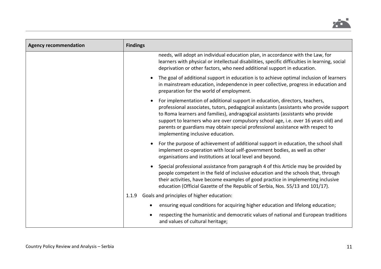

| <b>Agency recommendation</b> | <b>Findings</b>                                                                                                                                                                                                                                                                                                                                                                                                                                                          |
|------------------------------|--------------------------------------------------------------------------------------------------------------------------------------------------------------------------------------------------------------------------------------------------------------------------------------------------------------------------------------------------------------------------------------------------------------------------------------------------------------------------|
|                              | needs, will adopt an individual education plan, in accordance with the Law, for<br>learners with physical or intellectual disabilities, specific difficulties in learning, social<br>deprivation or other factors, who need additional support in education.                                                                                                                                                                                                             |
|                              | The goal of additional support in education is to achieve optimal inclusion of learners<br>$\bullet$<br>in mainstream education, independence in peer collective, progress in education and<br>preparation for the world of employment.                                                                                                                                                                                                                                  |
|                              | For implementation of additional support in education, directors, teachers,<br>professional associates, tutors, pedagogical assistants (assistants who provide support<br>to Roma learners and families), andragogical assistants (assistants who provide<br>support to learners who are over compulsory school age, i.e. over 16 years old) and<br>parents or guardians may obtain special professional assistance with respect to<br>implementing inclusive education. |
|                              | For the purpose of achievement of additional support in education, the school shall<br>implement co-operation with local self-government bodies, as well as other<br>organisations and institutions at local level and beyond.                                                                                                                                                                                                                                           |
|                              | Special professional assistance from paragraph 4 of this Article may be provided by<br>people competent in the field of inclusive education and the schools that, through<br>their activities, have become examples of good practice in implementing inclusive<br>education (Official Gazette of the Republic of Serbia, Nos. 55/13 and 101/17).                                                                                                                         |
|                              | Goals and principles of higher education:<br>1.1.9                                                                                                                                                                                                                                                                                                                                                                                                                       |
|                              | ensuring equal conditions for acquiring higher education and lifelong education;<br>$\bullet$                                                                                                                                                                                                                                                                                                                                                                            |
|                              | respecting the humanistic and democratic values of national and European traditions<br>$\bullet$<br>and values of cultural heritage;                                                                                                                                                                                                                                                                                                                                     |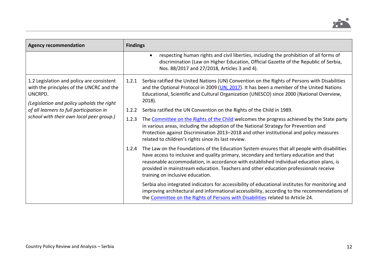

| <b>Agency recommendation</b>                                                                                                                                                                                                          | <b>Findings</b> |                                                                                                                                                                                                                                                                                                                                                                                                                |
|---------------------------------------------------------------------------------------------------------------------------------------------------------------------------------------------------------------------------------------|-----------------|----------------------------------------------------------------------------------------------------------------------------------------------------------------------------------------------------------------------------------------------------------------------------------------------------------------------------------------------------------------------------------------------------------------|
|                                                                                                                                                                                                                                       |                 | respecting human rights and civil liberties, including the prohibition of all forms of<br>$\bullet$<br>discrimination (Law on Higher Education, Official Gazette of the Republic of Serbia,<br>Nos. 88/2017 and 27/2018, Articles 3 and 4).                                                                                                                                                                    |
| 1.2 Legislation and policy are consistent<br>with the principles of the UNCRC and the<br>UNCRPD.<br>(Legislation and policy upholds the right<br>of all learners to full participation in<br>school with their own local peer group.) | 1.2.1           | Serbia ratified the United Nations (UN) Convention on the Rights of Persons with Disabilities<br>and the Optional Protocol in 2009 (UN, 2017). It has been a member of the United Nations<br>Educational, Scientific and Cultural Organization (UNESCO) since 2000 (National Overview,<br>$2018$ ).                                                                                                            |
|                                                                                                                                                                                                                                       | 1.2.2           | Serbia ratified the UN Convention on the Rights of the Child in 1989.                                                                                                                                                                                                                                                                                                                                          |
|                                                                                                                                                                                                                                       | 1.2.3           | The Committee on the Rights of the Child welcomes the progress achieved by the State party<br>in various areas, including the adoption of the National Strategy for Prevention and<br>Protection against Discrimination 2013-2018 and other institutional and policy measures<br>related to children's rights since its last review.                                                                           |
|                                                                                                                                                                                                                                       | 1.2.4           | The Law on the Foundations of the Education System ensures that all people with disabilities<br>have access to inclusive and quality primary, secondary and tertiary education and that<br>reasonable accommodation, in accordance with established individual education plans, is<br>provided in mainstream education. Teachers and other education professionals receive<br>training on inclusive education. |
|                                                                                                                                                                                                                                       |                 | Serbia also integrated indicators for accessibility of educational institutes for monitoring and<br>improving architectural and informational accessibility, according to the recommendations of<br>the Committee on the Rights of Persons with Disabilities related to Article 24.                                                                                                                            |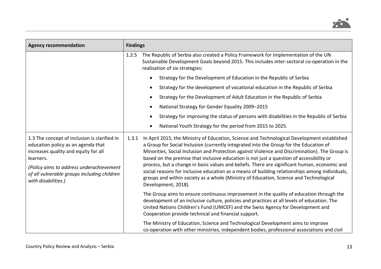

| <b>Agency recommendation</b>                                                                                                                                                                                                                              | <b>Findings</b>                                                                                                                                                                                                                                                                                                                                                                                                                                                                                                                                                                                                                                                                                                 |
|-----------------------------------------------------------------------------------------------------------------------------------------------------------------------------------------------------------------------------------------------------------|-----------------------------------------------------------------------------------------------------------------------------------------------------------------------------------------------------------------------------------------------------------------------------------------------------------------------------------------------------------------------------------------------------------------------------------------------------------------------------------------------------------------------------------------------------------------------------------------------------------------------------------------------------------------------------------------------------------------|
|                                                                                                                                                                                                                                                           | The Republic of Serbia also created a Policy Framework for Implementation of the UN<br>1.2.5<br>Sustainable Development Goals beyond 2015. This includes inter-sectoral co-operation in the<br>realisation of six strategies:                                                                                                                                                                                                                                                                                                                                                                                                                                                                                   |
|                                                                                                                                                                                                                                                           | Strategy for the Development of Education in the Republic of Serbia<br>$\bullet$                                                                                                                                                                                                                                                                                                                                                                                                                                                                                                                                                                                                                                |
|                                                                                                                                                                                                                                                           | Strategy for the development of vocational education in the Republic of Serbia<br>$\bullet$                                                                                                                                                                                                                                                                                                                                                                                                                                                                                                                                                                                                                     |
|                                                                                                                                                                                                                                                           | Strategy for the Development of Adult Education in the Republic of Serbia<br>$\bullet$                                                                                                                                                                                                                                                                                                                                                                                                                                                                                                                                                                                                                          |
|                                                                                                                                                                                                                                                           | National Strategy for Gender Equality 2009-2015<br>٠                                                                                                                                                                                                                                                                                                                                                                                                                                                                                                                                                                                                                                                            |
|                                                                                                                                                                                                                                                           | Strategy for improving the status of persons with disabilities in the Republic of Serbia                                                                                                                                                                                                                                                                                                                                                                                                                                                                                                                                                                                                                        |
|                                                                                                                                                                                                                                                           | National Youth Strategy for the period from 2015 to 2025.<br>٠                                                                                                                                                                                                                                                                                                                                                                                                                                                                                                                                                                                                                                                  |
| 1.3 The concept of inclusion is clarified in<br>education policy as an agenda that<br>increases quality and equity for all<br>learners.<br>(Policy aims to address underachievement<br>of all vulnerable groups including children<br>with disabilities.) | In April 2015, the Ministry of Education, Science and Technological Development established<br>1.3.1<br>a Group for Social Inclusion (currently integrated into the Group for the Education of<br>Minorities, Social Inclusion and Protection against Violence and Discrimination). The Group is<br>based on the premise that inclusive education is not just a question of accessibility or<br>process, but a change in basic values and beliefs. There are significant human, economic and<br>social reasons for inclusive education as a means of building relationships among individuals,<br>groups and within society as a whole (Ministry of Education, Science and Technological<br>Development, 2018). |
|                                                                                                                                                                                                                                                           | The Group aims to ensure continuous improvement in the quality of education through the<br>development of an inclusive culture, policies and practices at all levels of education. The<br>United Nations Children's Fund (UNICEF) and the Swiss Agency for Development and<br>Cooperation provide technical and financial support.                                                                                                                                                                                                                                                                                                                                                                              |
|                                                                                                                                                                                                                                                           | The Ministry of Education, Science and Technological Development aims to improve<br>co-operation with other ministries, independent bodies, professional associations and civil                                                                                                                                                                                                                                                                                                                                                                                                                                                                                                                                 |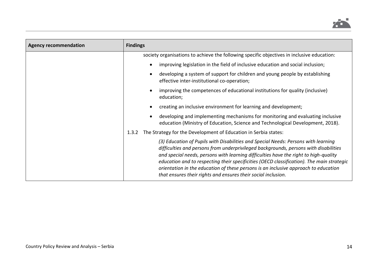

| <b>Agency recommendation</b> | <b>Findings</b>                                                                                                                                                                                                                                                                                                                                                                                                                                                                                                         |
|------------------------------|-------------------------------------------------------------------------------------------------------------------------------------------------------------------------------------------------------------------------------------------------------------------------------------------------------------------------------------------------------------------------------------------------------------------------------------------------------------------------------------------------------------------------|
|                              | society organisations to achieve the following specific objectives in inclusive education:                                                                                                                                                                                                                                                                                                                                                                                                                              |
|                              | improving legislation in the field of inclusive education and social inclusion;                                                                                                                                                                                                                                                                                                                                                                                                                                         |
|                              | developing a system of support for children and young people by establishing<br>effective inter-institutional co-operation;                                                                                                                                                                                                                                                                                                                                                                                             |
|                              | improving the competences of educational institutions for quality (inclusive)<br>education;                                                                                                                                                                                                                                                                                                                                                                                                                             |
|                              | creating an inclusive environment for learning and development;                                                                                                                                                                                                                                                                                                                                                                                                                                                         |
|                              | developing and implementing mechanisms for monitoring and evaluating inclusive<br>education (Ministry of Education, Science and Technological Development, 2018).                                                                                                                                                                                                                                                                                                                                                       |
|                              | The Strategy for the Development of Education in Serbia states:<br>1.3.2                                                                                                                                                                                                                                                                                                                                                                                                                                                |
|                              | (3) Education of Pupils with Disabilities and Special Needs: Persons with learning<br>difficulties and persons from underprivileged backgrounds, persons with disabilities<br>and special needs, persons with learning difficulties have the right to high-quality<br>education and to respecting their specificities (OECD classification). The main strategic<br>orientation in the education of these persons is an inclusive approach to education<br>that ensures their rights and ensures their social inclusion. |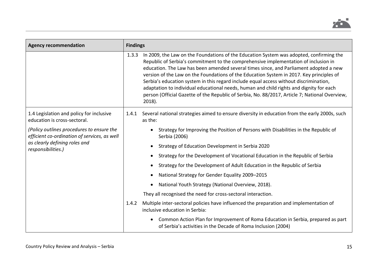

| <b>Agency recommendation</b>                                                                                                                     | <b>Findings</b> |                                                                                                                                                                                                                                                                                                                                                                                                                                                                                                                                                                                                                                                                        |
|--------------------------------------------------------------------------------------------------------------------------------------------------|-----------------|------------------------------------------------------------------------------------------------------------------------------------------------------------------------------------------------------------------------------------------------------------------------------------------------------------------------------------------------------------------------------------------------------------------------------------------------------------------------------------------------------------------------------------------------------------------------------------------------------------------------------------------------------------------------|
|                                                                                                                                                  | 1.3.3           | In 2009, the Law on the Foundations of the Education System was adopted, confirming the<br>Republic of Serbia's commitment to the comprehensive implementation of inclusion in<br>education. The Law has been amended several times since, and Parliament adopted a new<br>version of the Law on the Foundations of the Education System in 2017. Key principles of<br>Serbia's education system in this regard include equal access without discrimination,<br>adaptation to individual educational needs, human and child rights and dignity for each<br>person (Official Gazette of the Republic of Serbia, No. 88/2017, Article 7; National Overview,<br>$2018$ ). |
| 1.4 Legislation and policy for inclusive<br>education is cross-sectoral.                                                                         | 1.4.1           | Several national strategies aimed to ensure diversity in education from the early 2000s, such<br>as the:                                                                                                                                                                                                                                                                                                                                                                                                                                                                                                                                                               |
| (Policy outlines procedures to ensure the<br>efficient co-ordination of services, as well<br>as clearly defining roles and<br>responsibilities.) | 1.4.2           | Strategy for Improving the Position of Persons with Disabilities in the Republic of<br>Serbia (2006)                                                                                                                                                                                                                                                                                                                                                                                                                                                                                                                                                                   |
|                                                                                                                                                  |                 | Strategy of Education Development in Serbia 2020                                                                                                                                                                                                                                                                                                                                                                                                                                                                                                                                                                                                                       |
|                                                                                                                                                  |                 | Strategy for the Development of Vocational Education in the Republic of Serbia                                                                                                                                                                                                                                                                                                                                                                                                                                                                                                                                                                                         |
|                                                                                                                                                  |                 | Strategy for the Development of Adult Education in the Republic of Serbia                                                                                                                                                                                                                                                                                                                                                                                                                                                                                                                                                                                              |
|                                                                                                                                                  |                 | National Strategy for Gender Equality 2009-2015                                                                                                                                                                                                                                                                                                                                                                                                                                                                                                                                                                                                                        |
|                                                                                                                                                  |                 | National Youth Strategy (National Overview, 2018).                                                                                                                                                                                                                                                                                                                                                                                                                                                                                                                                                                                                                     |
|                                                                                                                                                  |                 | They all recognised the need for cross-sectoral interaction.                                                                                                                                                                                                                                                                                                                                                                                                                                                                                                                                                                                                           |
|                                                                                                                                                  |                 | Multiple inter-sectoral policies have influenced the preparation and implementation of<br>inclusive education in Serbia:                                                                                                                                                                                                                                                                                                                                                                                                                                                                                                                                               |
|                                                                                                                                                  |                 | Common Action Plan for Improvement of Roma Education in Serbia, prepared as part<br>$\bullet$<br>of Serbia's activities in the Decade of Roma Inclusion (2004)                                                                                                                                                                                                                                                                                                                                                                                                                                                                                                         |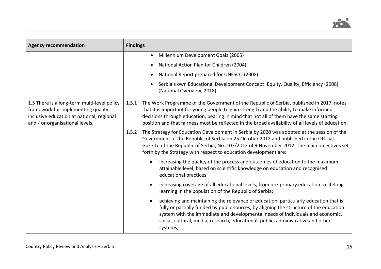

| <b>Agency recommendation</b>                                                                                                                                      | <b>Findings</b>                                                                                                                                                                                                                                                                                                                                                                                |
|-------------------------------------------------------------------------------------------------------------------------------------------------------------------|------------------------------------------------------------------------------------------------------------------------------------------------------------------------------------------------------------------------------------------------------------------------------------------------------------------------------------------------------------------------------------------------|
|                                                                                                                                                                   | Millennium Development Goals (2005)<br>$\bullet$                                                                                                                                                                                                                                                                                                                                               |
|                                                                                                                                                                   | National Action Plan for Children (2004)                                                                                                                                                                                                                                                                                                                                                       |
|                                                                                                                                                                   | National Report prepared for UNESCO (2008)                                                                                                                                                                                                                                                                                                                                                     |
|                                                                                                                                                                   | Serbia's own Educational Development Concept: Equity, Quality, Efficiency (2008)<br>(National Overview, 2018).                                                                                                                                                                                                                                                                                 |
| 1.5 There is a long-term multi-level policy<br>framework for implementing quality<br>inclusive education at national, regional<br>and / or organisational levels. | The Work Programme of the Government of the Republic of Serbia, published in 2017, notes<br>1.5.1<br>that it is important for young people to gain strength and the ability to make informed<br>decisions through education, bearing in mind that not all of them have the same starting<br>position and that fairness must be reflected in the broad availability of all levels of education. |
|                                                                                                                                                                   | The Strategy for Education Development in Serbia by 2020 was adopted at the session of the<br>1.5.2<br>Government of the Republic of Serbia on 25 October 2012 and published in the Official<br>Gazette of the Republic of Serbia, No. 107/2012 of 9 November 2012. The main objectives set<br>forth by the Strategy with respect to education development are:                                |
|                                                                                                                                                                   | increasing the quality of the process and outcomes of education to the maximum<br>$\bullet$<br>attainable level, based on scientific knowledge on education and recognised<br>educational practices;                                                                                                                                                                                           |
|                                                                                                                                                                   | increasing coverage of all educational levels, from pre-primary education to lifelong<br>$\bullet$<br>learning in the population of the Republic of Serbia;                                                                                                                                                                                                                                    |
|                                                                                                                                                                   | achieving and maintaining the relevance of education, particularly education that is<br>$\bullet$<br>fully or partially funded by public sources, by aligning the structure of the education<br>system with the immediate and developmental needs of individuals and economic,<br>social, cultural, media, research, educational, public, administrative and other<br>systems;                 |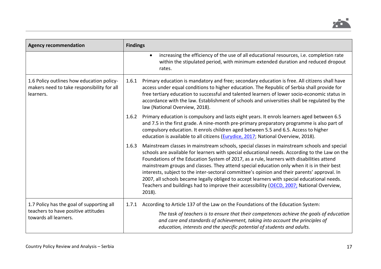

| <b>Agency recommendation</b>                                                                              | <b>Findings</b>                                                                                                                                                                                                                                                                                                                                                                                                                                                                                                                                                                                                                                                                                         |
|-----------------------------------------------------------------------------------------------------------|---------------------------------------------------------------------------------------------------------------------------------------------------------------------------------------------------------------------------------------------------------------------------------------------------------------------------------------------------------------------------------------------------------------------------------------------------------------------------------------------------------------------------------------------------------------------------------------------------------------------------------------------------------------------------------------------------------|
|                                                                                                           | increasing the efficiency of the use of all educational resources, i.e. completion rate<br>$\bullet$<br>within the stipulated period, with minimum extended duration and reduced dropout<br>rates.                                                                                                                                                                                                                                                                                                                                                                                                                                                                                                      |
| 1.6 Policy outlines how education policy-<br>makers need to take responsibility for all<br>learners.      | Primary education is mandatory and free; secondary education is free. All citizens shall have<br>1.6.1<br>access under equal conditions to higher education. The Republic of Serbia shall provide for<br>free tertiary education to successful and talented learners of lower socio-economic status in<br>accordance with the law. Establishment of schools and universities shall be regulated by the<br>law (National Overview, 2018).                                                                                                                                                                                                                                                                |
|                                                                                                           | Primary education is compulsory and lasts eight years. It enrols learners aged between 6.5<br>1.6.2<br>and 7.5 in the first grade. A nine-month pre-primary preparatory programme is also part of<br>compulsory education. It enrols children aged between 5.5 and 6.5. Access to higher<br>education is available to all citizens (Eurydice, 2017; National Overview, 2018).                                                                                                                                                                                                                                                                                                                           |
|                                                                                                           | Mainstream classes in mainstream schools, special classes in mainstream schools and special<br>1.6.3<br>schools are available for learners with special educational needs. According to the Law on the<br>Foundations of the Education System of 2017, as a rule, learners with disabilities attend<br>mainstream groups and classes. They attend special education only when it is in their best<br>interests, subject to the inter-sectoral committee's opinion and their parents' approval. In<br>2007, all schools became legally obliged to accept learners with special educational needs.<br>Teachers and buildings had to improve their accessibility (OECD, 2007; National Overview,<br>2018). |
| 1.7 Policy has the goal of supporting all<br>teachers to have positive attitudes<br>towards all learners. | According to Article 137 of the Law on the Foundations of the Education System:<br>1.7.1                                                                                                                                                                                                                                                                                                                                                                                                                                                                                                                                                                                                                |
|                                                                                                           | The task of teachers is to ensure that their competences achieve the goals of education<br>and care and standards of achievement, taking into account the principles of<br>education, interests and the specific potential of students and adults.                                                                                                                                                                                                                                                                                                                                                                                                                                                      |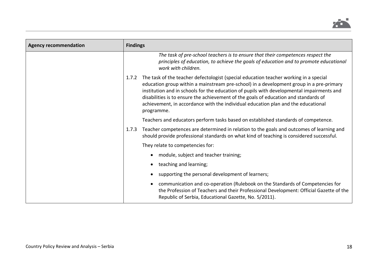

| <b>Agency recommendation</b> | <b>Findings</b> |                                                                                                                                                                                                                                                                                                                                                                                                                                                                          |
|------------------------------|-----------------|--------------------------------------------------------------------------------------------------------------------------------------------------------------------------------------------------------------------------------------------------------------------------------------------------------------------------------------------------------------------------------------------------------------------------------------------------------------------------|
|                              |                 | The task of pre-school teachers is to ensure that their competences respect the<br>principles of education, to achieve the goals of education and to promote educational<br>work with children.                                                                                                                                                                                                                                                                          |
|                              | 1.7.2           | The task of the teacher defectologist (special education teacher working in a special<br>education group within a mainstream pre-school) in a development group in a pre-primary<br>institution and in schools for the education of pupils with developmental impairments and<br>disabilities is to ensure the achievement of the goals of education and standards of<br>achievement, in accordance with the individual education plan and the educational<br>programme. |
|                              |                 | Teachers and educators perform tasks based on established standards of competence.                                                                                                                                                                                                                                                                                                                                                                                       |
|                              | 1.7.3           | Teacher competences are determined in relation to the goals and outcomes of learning and<br>should provide professional standards on what kind of teaching is considered successful.                                                                                                                                                                                                                                                                                     |
|                              |                 | They relate to competencies for:                                                                                                                                                                                                                                                                                                                                                                                                                                         |
|                              |                 | module, subject and teacher training;                                                                                                                                                                                                                                                                                                                                                                                                                                    |
|                              |                 | teaching and learning;                                                                                                                                                                                                                                                                                                                                                                                                                                                   |
|                              |                 | supporting the personal development of learners;                                                                                                                                                                                                                                                                                                                                                                                                                         |
|                              |                 | communication and co-operation (Rulebook on the Standards of Competencies for<br>the Profession of Teachers and their Professional Development: Official Gazette of the<br>Republic of Serbia, Educational Gazette, No. 5/2011).                                                                                                                                                                                                                                         |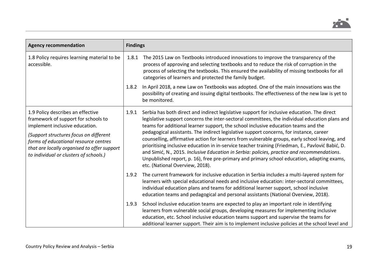

| <b>Agency recommendation</b>                                                                                                                                                                                                                                                           | <b>Findings</b> |                                                                                                                                                                                                                                                                                                                                                                                                                                                                                                                                                                                                                                                                                                                                                                                                                       |
|----------------------------------------------------------------------------------------------------------------------------------------------------------------------------------------------------------------------------------------------------------------------------------------|-----------------|-----------------------------------------------------------------------------------------------------------------------------------------------------------------------------------------------------------------------------------------------------------------------------------------------------------------------------------------------------------------------------------------------------------------------------------------------------------------------------------------------------------------------------------------------------------------------------------------------------------------------------------------------------------------------------------------------------------------------------------------------------------------------------------------------------------------------|
| 1.8 Policy requires learning material to be<br>accessible.                                                                                                                                                                                                                             | 1.8.1           | The 2015 Law on Textbooks introduced innovations to improve the transparency of the<br>process of approving and selecting textbooks and to reduce the risk of corruption in the<br>process of selecting the textbooks. This ensured the availability of missing textbooks for all<br>categories of learners and protected the family budget.                                                                                                                                                                                                                                                                                                                                                                                                                                                                          |
|                                                                                                                                                                                                                                                                                        | 1.8.2           | In April 2018, a new Law on Textbooks was adopted. One of the main innovations was the<br>possibility of creating and issuing digital textbooks. The effectiveness of the new law is yet to<br>be monitored.                                                                                                                                                                                                                                                                                                                                                                                                                                                                                                                                                                                                          |
| 1.9 Policy describes an effective<br>framework of support for schools to<br>implement inclusive education.<br>(Support structures focus on different<br>forms of educational resource centres<br>that are locally organised to offer support<br>to individual or clusters of schools.) | 1.9.1           | Serbia has both direct and indirect legislative support for inclusive education. The direct<br>legislative support concerns the inter-sectoral committees, the individual education plans and<br>teams for additional learner support, the school inclusive education teams and the<br>pedagogical assistants. The indirect legislative support concerns, for instance, career<br>counselling, affirmative action for learners from vulnerable groups, early school leaving, and<br>prioritising inclusive education in in-service teacher training (Friedman, E., Pavlović Babić, D.<br>and Simić, N., 2015. Inclusive Education in Serbia: policies, practice and recommendations.<br>Unpublished report, p. 16), free pre-primary and primary school education, adapting exams,<br>etc. (National Overview, 2018). |
|                                                                                                                                                                                                                                                                                        | 1.9.2           | The current framework for inclusive education in Serbia includes a multi-layered system for<br>learners with special educational needs and inclusive education: inter-sectoral committees,<br>individual education plans and teams for additional learner support, school inclusive<br>education teams and pedagogical and personal assistants (National Overview, 2018).                                                                                                                                                                                                                                                                                                                                                                                                                                             |
|                                                                                                                                                                                                                                                                                        | 1.9.3           | School inclusive education teams are expected to play an important role in identifying<br>learners from vulnerable social groups, developing measures for implementing inclusive<br>education, etc. School inclusive education teams support and supervise the teams for<br>additional learner support. Their aim is to implement inclusive policies at the school level and                                                                                                                                                                                                                                                                                                                                                                                                                                          |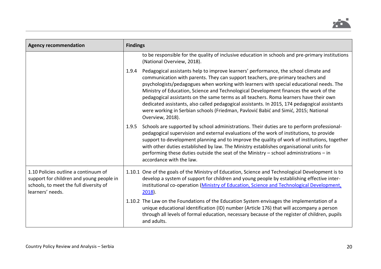

| <b>Agency recommendation</b>                                                                                                                   | <b>Findings</b>                                                                                                                                                                                                                                                                                                                                                                                                                                                                                                                                                                                                                                                            |  |
|------------------------------------------------------------------------------------------------------------------------------------------------|----------------------------------------------------------------------------------------------------------------------------------------------------------------------------------------------------------------------------------------------------------------------------------------------------------------------------------------------------------------------------------------------------------------------------------------------------------------------------------------------------------------------------------------------------------------------------------------------------------------------------------------------------------------------------|--|
|                                                                                                                                                | to be responsible for the quality of inclusive education in schools and pre-primary institutions<br>(National Overview, 2018).                                                                                                                                                                                                                                                                                                                                                                                                                                                                                                                                             |  |
|                                                                                                                                                | Pedagogical assistants help to improve learners' performance, the school climate and<br>1.9.4<br>communication with parents. They can support teachers, pre-primary teachers and<br>psychologists/pedagogues when working with learners with special educational needs. The<br>Ministry of Education, Science and Technological Development finances the work of the<br>pedagogical assistants on the same terms as all teachers. Roma learners have their own<br>dedicated assistants, also called pedagogical assistants. In 2015, 174 pedagogical assistants<br>were working in Serbian schools (Friedman, Pavlović Babić and Simić, 2015; National<br>Overview, 2018). |  |
|                                                                                                                                                | 1.9.5<br>Schools are supported by school administrations. Their duties are to perform professional-<br>pedagogical supervision and external evaluations of the work of institutions, to provide<br>support to development planning and to improve the quality of work of institutions, together<br>with other duties established by law. The Ministry establishes organisational units for<br>performing these duties outside the seat of the Ministry - school administrations - in<br>accordance with the law.                                                                                                                                                           |  |
| 1.10 Policies outline a continuum of<br>support for children and young people in<br>schools, to meet the full diversity of<br>learners' needs. | 1.10.1 One of the goals of the Ministry of Education, Science and Technological Development is to<br>develop a system of support for children and young people by establishing effective inter-<br>institutional co-operation (Ministry of Education, Science and Technological Development,<br>$2018$ ).                                                                                                                                                                                                                                                                                                                                                                  |  |
|                                                                                                                                                | 1.10.2 The Law on the Foundations of the Education System envisages the implementation of a<br>unique educational identification (ID) number (Article 176) that will accompany a person<br>through all levels of formal education, necessary because of the register of children, pupils<br>and adults.                                                                                                                                                                                                                                                                                                                                                                    |  |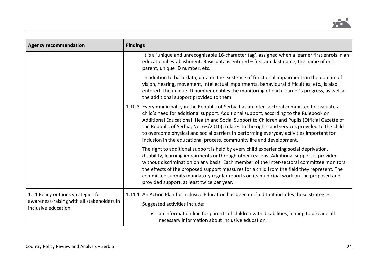

| <b>Agency recommendation</b>                                                                              | <b>Findings</b>                                                                                                                                                                                                                                                                                                                                                                                                                                                                                                                                                    |  |  |
|-----------------------------------------------------------------------------------------------------------|--------------------------------------------------------------------------------------------------------------------------------------------------------------------------------------------------------------------------------------------------------------------------------------------------------------------------------------------------------------------------------------------------------------------------------------------------------------------------------------------------------------------------------------------------------------------|--|--|
|                                                                                                           | It is a 'unique and unrecognisable 16-character tag', assigned when a learner first enrols in an<br>educational establishment. Basic data is entered - first and last name, the name of one<br>parent, unique ID number, etc.                                                                                                                                                                                                                                                                                                                                      |  |  |
|                                                                                                           | In addition to basic data, data on the existence of functional impairments in the domain of<br>vision, hearing, movement, intellectual impairments, behavioural difficulties, etc., is also<br>entered. The unique ID number enables the monitoring of each learner's progress, as well as<br>the additional support provided to them.                                                                                                                                                                                                                             |  |  |
|                                                                                                           | 1.10.3 Every municipality in the Republic of Serbia has an inter-sectoral committee to evaluate a<br>child's need for additional support. Additional support, according to the Rulebook on<br>Additional Educational, Health and Social Support to Children and Pupils (Official Gazette of<br>the Republic of Serbia, No. 63/2010), relates to the rights and services provided to the child<br>to overcome physical and social barriers in performing everyday activities important for<br>inclusion in the educational process, community life and development. |  |  |
|                                                                                                           | The right to additional support is held by every child experiencing social deprivation,<br>disability, learning impairments or through other reasons. Additional support is provided<br>without discrimination on any basis. Each member of the inter-sectoral committee monitors<br>the effects of the proposed support measures for a child from the field they represent. The<br>committee submits mandatory regular reports on its municipal work on the proposed and<br>provided support, at least twice per year.                                            |  |  |
| 1.11 Policy outlines strategies for<br>awareness-raising with all stakeholders in<br>inclusive education. | 1.11.1 An Action Plan for Inclusive Education has been drafted that includes these strategies.<br>Suggested activities include:                                                                                                                                                                                                                                                                                                                                                                                                                                    |  |  |
|                                                                                                           | an information line for parents of children with disabilities, aiming to provide all<br>necessary information about inclusive education;                                                                                                                                                                                                                                                                                                                                                                                                                           |  |  |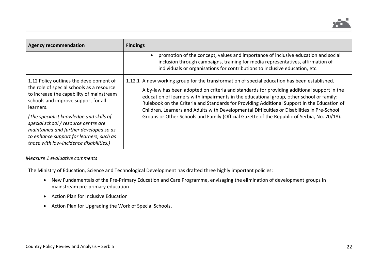

| <b>Agency recommendation</b>                                                                                                                                                                                                                                                                                                                                                                             | <b>Findings</b>                                                                                                                                                                                                                                                                                                                                                                                                                                                                                                                                                                      |
|----------------------------------------------------------------------------------------------------------------------------------------------------------------------------------------------------------------------------------------------------------------------------------------------------------------------------------------------------------------------------------------------------------|--------------------------------------------------------------------------------------------------------------------------------------------------------------------------------------------------------------------------------------------------------------------------------------------------------------------------------------------------------------------------------------------------------------------------------------------------------------------------------------------------------------------------------------------------------------------------------------|
|                                                                                                                                                                                                                                                                                                                                                                                                          | promotion of the concept, values and importance of inclusive education and social<br>inclusion through campaigns, training for media representatives, affirmation of<br>individuals or organisations for contributions to inclusive education, etc.                                                                                                                                                                                                                                                                                                                                  |
| 1.12 Policy outlines the development of<br>the role of special schools as a resource<br>to increase the capability of mainstream<br>schools and improve support for all<br>learners.<br>(The specialist knowledge and skills of<br>special school / resource centre are<br>maintained and further developed so as<br>to enhance support for learners, such as<br>those with low-incidence disabilities.) | 1.12.1 A new working group for the transformation of special education has been established.<br>A by-law has been adopted on criteria and standards for providing additional support in the<br>education of learners with impairments in the educational group, other school or family:<br>Rulebook on the Criteria and Standards for Providing Additional Support in the Education of<br>Children, Learners and Adults with Developmental Difficulties or Disabilities in Pre-School<br>Groups or Other Schools and Family (Official Gazette of the Republic of Serbia, No. 70/18). |

#### *Measure 1 evaluative comments*

The Ministry of Education, Science and Technological Development has drafted three highly important policies:

- New Fundamentals of the Pre-Primary Education and Care Programme, envisaging the elimination of development groups in mainstream pre-primary education
- Action Plan for Inclusive Education
- Action Plan for Upgrading the Work of Special Schools.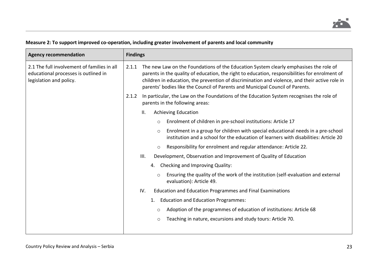# **Measure 2: To support improved co-operation, including greater involvement of parents and local community**

| <b>Agency recommendation</b>                                                                                   |       | <b>Findings</b> |                                                                                                                                                                                                                                                                                                                                                                            |  |  |
|----------------------------------------------------------------------------------------------------------------|-------|-----------------|----------------------------------------------------------------------------------------------------------------------------------------------------------------------------------------------------------------------------------------------------------------------------------------------------------------------------------------------------------------------------|--|--|
| 2.1 The full involvement of families in all<br>educational processes is outlined in<br>legislation and policy. | 2.1.1 |                 | The new Law on the Foundations of the Education System clearly emphasises the role of<br>parents in the quality of education, the right to education, responsibilities for enrolment of<br>children in education, the prevention of discrimination and violence, and their active role in<br>parents' bodies like the Council of Parents and Municipal Council of Parents. |  |  |
|                                                                                                                | 2.1.2 |                 | In particular, the Law on the Foundations of the Education System recognises the role of<br>parents in the following areas:                                                                                                                                                                                                                                                |  |  |
|                                                                                                                |       | Ш.              | <b>Achieving Education</b>                                                                                                                                                                                                                                                                                                                                                 |  |  |
|                                                                                                                |       | $\circ$         | Enrolment of children in pre-school institutions: Article 17                                                                                                                                                                                                                                                                                                               |  |  |
|                                                                                                                |       | $\circ$         | Enrolment in a group for children with special educational needs in a pre-school<br>institution and a school for the education of learners with disabilities: Article 20                                                                                                                                                                                                   |  |  |
|                                                                                                                |       | $\circ$         | Responsibility for enrolment and regular attendance: Article 22.                                                                                                                                                                                                                                                                                                           |  |  |
|                                                                                                                |       | III.            | Development, Observation and Improvement of Quality of Education                                                                                                                                                                                                                                                                                                           |  |  |
|                                                                                                                |       |                 | 4. Checking and Improving Quality:                                                                                                                                                                                                                                                                                                                                         |  |  |
|                                                                                                                |       | $\circ$         | Ensuring the quality of the work of the institution (self-evaluation and external<br>evaluation): Article 49.                                                                                                                                                                                                                                                              |  |  |
|                                                                                                                |       | IV.             | <b>Education and Education Programmes and Final Examinations</b>                                                                                                                                                                                                                                                                                                           |  |  |
|                                                                                                                |       | 1.              | <b>Education and Education Programmes:</b>                                                                                                                                                                                                                                                                                                                                 |  |  |
|                                                                                                                |       | $\circ$         | Adoption of the programmes of education of institutions: Article 68                                                                                                                                                                                                                                                                                                        |  |  |
|                                                                                                                |       | $\circ$         | Teaching in nature, excursions and study tours: Article 70.                                                                                                                                                                                                                                                                                                                |  |  |
|                                                                                                                |       |                 |                                                                                                                                                                                                                                                                                                                                                                            |  |  |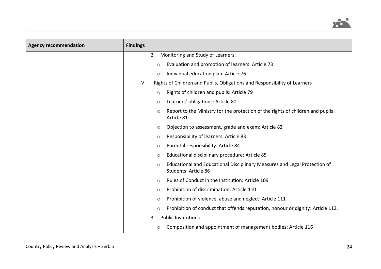

| <b>Agency recommendation</b> | <b>Findings</b>                                                                                              |
|------------------------------|--------------------------------------------------------------------------------------------------------------|
|                              | Monitoring and Study of Learners:<br>2.                                                                      |
|                              | Evaluation and promotion of learners: Article 73<br>$\circ$                                                  |
|                              | Individual education plan: Article 76.<br>$\circ$                                                            |
|                              | Rights of Children and Pupils, Obligations and Responsibility of Learners<br>V.                              |
|                              | Rights of children and pupils: Article 79<br>$\circ$                                                         |
|                              | Learners' obligations: Article 80<br>$\circ$                                                                 |
|                              | Report to the Ministry for the protection of the rights of children and pupils:<br>$\circ$<br>Article 81     |
|                              | Objection to assessment, grade and exam: Article 82<br>$\circ$                                               |
|                              | Responsibility of learners: Article 83<br>O                                                                  |
|                              | Parental responsibility: Article 84<br>$\circlearrowright$                                                   |
|                              | Educational disciplinary procedure: Article 85<br>O                                                          |
|                              | Educational and Educational Disciplinary Measures and Legal Protection of<br>$\circ$<br>Students: Article 86 |
|                              | Rules of Conduct in the Institution: Article 109<br>$\circ$                                                  |
|                              | Prohibition of discrimination: Article 110<br>$\circ$                                                        |
|                              | Prohibition of violence, abuse and neglect: Article 111<br>$\circ$                                           |
|                              | Prohibition of conduct that offends reputation, honour or dignity: Article 112.<br>$\circ$                   |
|                              | <b>Public Institutions</b><br>3.                                                                             |
|                              | Composition and appointment of management bodies: Article 116<br>O                                           |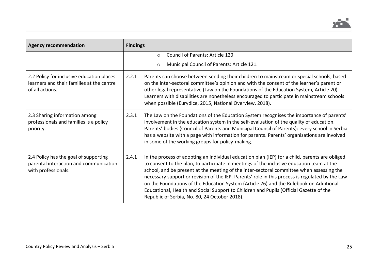

| <b>Agency recommendation</b>                                                                              | <b>Findings</b>                                                                                                                                                                                                                                                                                                                                                                                                                                                                                                                                                                                                                          |
|-----------------------------------------------------------------------------------------------------------|------------------------------------------------------------------------------------------------------------------------------------------------------------------------------------------------------------------------------------------------------------------------------------------------------------------------------------------------------------------------------------------------------------------------------------------------------------------------------------------------------------------------------------------------------------------------------------------------------------------------------------------|
|                                                                                                           | <b>Council of Parents: Article 120</b><br>$\circ$<br>Municipal Council of Parents: Article 121.                                                                                                                                                                                                                                                                                                                                                                                                                                                                                                                                          |
|                                                                                                           | $\circ$                                                                                                                                                                                                                                                                                                                                                                                                                                                                                                                                                                                                                                  |
| 2.2 Policy for inclusive education places<br>learners and their families at the centre<br>of all actions. | 2.2.1<br>Parents can choose between sending their children to mainstream or special schools, based<br>on the inter-sectoral committee's opinion and with the consent of the learner's parent or<br>other legal representative (Law on the Foundations of the Education System, Article 20).<br>Learners with disabilities are nonetheless encouraged to participate in mainstream schools<br>when possible (Eurydice, 2015, National Overview, 2018).                                                                                                                                                                                    |
| 2.3 Sharing information among<br>professionals and families is a policy<br>priority.                      | The Law on the Foundations of the Education System recognises the importance of parents'<br>2.3.1<br>involvement in the education system in the self-evaluation of the quality of education.<br>Parents' bodies (Council of Parents and Municipal Council of Parents): every school in Serbia<br>has a website with a page with information for parents. Parents' organisations are involved<br>in some of the working groups for policy-making.                                                                                                                                                                                         |
| 2.4 Policy has the goal of supporting<br>parental interaction and communication<br>with professionals.    | 2.4.1<br>In the process of adopting an individual education plan (IEP) for a child, parents are obliged<br>to consent to the plan, to participate in meetings of the inclusive education team at the<br>school, and be present at the meeting of the inter-sectoral committee when assessing the<br>necessary support or revision of the IEP. Parents' role in this process is regulated by the Law<br>on the Foundations of the Education System (Article 76) and the Rulebook on Additional<br>Educational, Health and Social Support to Children and Pupils (Official Gazette of the<br>Republic of Serbia, No. 80, 24 October 2018). |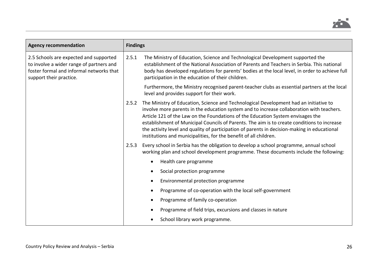

| <b>Agency recommendation</b>                                                                                                                              | <b>Findings</b> |                                                                                                                                                                                                                                                                                                                                                                                                                                                                                                                                           |
|-----------------------------------------------------------------------------------------------------------------------------------------------------------|-----------------|-------------------------------------------------------------------------------------------------------------------------------------------------------------------------------------------------------------------------------------------------------------------------------------------------------------------------------------------------------------------------------------------------------------------------------------------------------------------------------------------------------------------------------------------|
| 2.5 Schools are expected and supported<br>to involve a wider range of partners and<br>foster formal and informal networks that<br>support their practice. | 2.5.1           | The Ministry of Education, Science and Technological Development supported the<br>establishment of the National Association of Parents and Teachers in Serbia. This national<br>body has developed regulations for parents' bodies at the local level, in order to achieve full<br>participation in the education of their children.                                                                                                                                                                                                      |
|                                                                                                                                                           |                 | Furthermore, the Ministry recognised parent-teacher clubs as essential partners at the local<br>level and provides support for their work.                                                                                                                                                                                                                                                                                                                                                                                                |
|                                                                                                                                                           | 2.5.2           | The Ministry of Education, Science and Technological Development had an initiative to<br>involve more parents in the education system and to increase collaboration with teachers.<br>Article 121 of the Law on the Foundations of the Education System envisages the<br>establishment of Municipal Councils of Parents. The aim is to create conditions to increase<br>the activity level and quality of participation of parents in decision-making in educational<br>institutions and municipalities, for the benefit of all children. |
|                                                                                                                                                           | 2.5.3           | Every school in Serbia has the obligation to develop a school programme, annual school<br>working plan and school development programme. These documents include the following:                                                                                                                                                                                                                                                                                                                                                           |
|                                                                                                                                                           |                 | Health care programme<br>$\bullet$                                                                                                                                                                                                                                                                                                                                                                                                                                                                                                        |
|                                                                                                                                                           |                 | Social protection programme                                                                                                                                                                                                                                                                                                                                                                                                                                                                                                               |
|                                                                                                                                                           |                 | Environmental protection programme                                                                                                                                                                                                                                                                                                                                                                                                                                                                                                        |
|                                                                                                                                                           |                 | Programme of co-operation with the local self-government<br>$\bullet$                                                                                                                                                                                                                                                                                                                                                                                                                                                                     |
|                                                                                                                                                           |                 | Programme of family co-operation                                                                                                                                                                                                                                                                                                                                                                                                                                                                                                          |
|                                                                                                                                                           |                 | Programme of field trips, excursions and classes in nature                                                                                                                                                                                                                                                                                                                                                                                                                                                                                |
|                                                                                                                                                           |                 | School library work programme.                                                                                                                                                                                                                                                                                                                                                                                                                                                                                                            |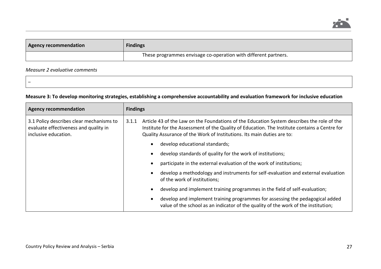

| <b>Agency recommendation</b> | <b>Findings</b>                                                 |
|------------------------------|-----------------------------------------------------------------|
|                              | These programmes envisage co-operation with different partners. |

# *Measure 2 evaluative comments*

–

# **Measure 3: To develop monitoring strategies, establishing a comprehensive accountability and evaluation framework for inclusive education**

| <b>Agency recommendation</b>                                                                              | <b>Findings</b>                                                                                                                                                                                                                                                                |  |  |
|-----------------------------------------------------------------------------------------------------------|--------------------------------------------------------------------------------------------------------------------------------------------------------------------------------------------------------------------------------------------------------------------------------|--|--|
| 3.1 Policy describes clear mechanisms to<br>evaluate effectiveness and quality in<br>inclusive education. | Article 43 of the Law on the Foundations of the Education System describes the role of the<br>3.1.1<br>Institute for the Assessment of the Quality of Education. The Institute contains a Centre for<br>Quality Assurance of the Work of Institutions. Its main duties are to: |  |  |
|                                                                                                           | develop educational standards;                                                                                                                                                                                                                                                 |  |  |
|                                                                                                           | develop standards of quality for the work of institutions;                                                                                                                                                                                                                     |  |  |
|                                                                                                           | participate in the external evaluation of the work of institutions;                                                                                                                                                                                                            |  |  |
|                                                                                                           | develop a methodology and instruments for self-evaluation and external evaluation<br>of the work of institutions;                                                                                                                                                              |  |  |
|                                                                                                           | develop and implement training programmes in the field of self-evaluation;                                                                                                                                                                                                     |  |  |
|                                                                                                           | develop and implement training programmes for assessing the pedagogical added<br>value of the school as an indicator of the quality of the work of the institution;                                                                                                            |  |  |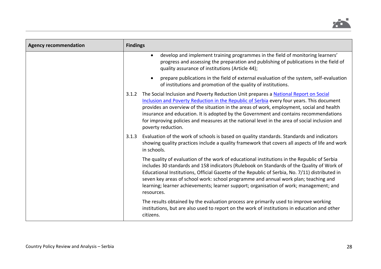

| <b>Agency recommendation</b> | <b>Findings</b> |                                                                                                                                                                                                                                                                                                                                                                                                                                                                                                |
|------------------------------|-----------------|------------------------------------------------------------------------------------------------------------------------------------------------------------------------------------------------------------------------------------------------------------------------------------------------------------------------------------------------------------------------------------------------------------------------------------------------------------------------------------------------|
|                              |                 | develop and implement training programmes in the field of monitoring learners'<br>progress and assessing the preparation and publishing of publications in the field of<br>quality assurance of institutions (Article 44);                                                                                                                                                                                                                                                                     |
|                              |                 | prepare publications in the field of external evaluation of the system, self-evaluation<br>of institutions and promotion of the quality of institutions.                                                                                                                                                                                                                                                                                                                                       |
|                              | 3.1.2           | The Social Inclusion and Poverty Reduction Unit prepares a National Report on Social<br>Inclusion and Poverty Reduction in the Republic of Serbia every four years. This document<br>provides an overview of the situation in the areas of work, employment, social and health<br>insurance and education. It is adopted by the Government and contains recommendations<br>for improving policies and measures at the national level in the area of social inclusion and<br>poverty reduction. |
|                              | 3.1.3           | Evaluation of the work of schools is based on quality standards. Standards and indicators<br>showing quality practices include a quality framework that covers all aspects of life and work<br>in schools.                                                                                                                                                                                                                                                                                     |
|                              |                 | The quality of evaluation of the work of educational institutions in the Republic of Serbia<br>includes 30 standards and 158 indicators (Rulebook on Standards of the Quality of Work of<br>Educational Institutions, Official Gazette of the Republic of Serbia, No. 7/11) distributed in<br>seven key areas of school work: school programme and annual work plan; teaching and<br>learning; learner achievements; learner support; organisation of work; management; and<br>resources.      |
|                              |                 | The results obtained by the evaluation process are primarily used to improve working<br>institutions, but are also used to report on the work of institutions in education and other<br>citizens.                                                                                                                                                                                                                                                                                              |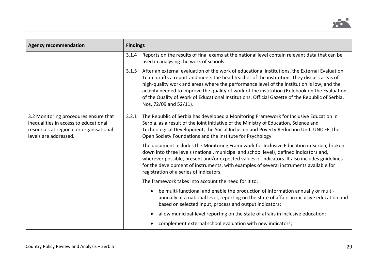

| <b>Agency recommendation</b>                                                                                                                       | <b>Findings</b> |                                                                                                                                                                                                                                                                                                                                                                                                                                                                                                                        |  |
|----------------------------------------------------------------------------------------------------------------------------------------------------|-----------------|------------------------------------------------------------------------------------------------------------------------------------------------------------------------------------------------------------------------------------------------------------------------------------------------------------------------------------------------------------------------------------------------------------------------------------------------------------------------------------------------------------------------|--|
|                                                                                                                                                    | 3.1.4           | Reports on the results of final exams at the national level contain relevant data that can be<br>used in analysing the work of schools.                                                                                                                                                                                                                                                                                                                                                                                |  |
|                                                                                                                                                    | 3.1.5           | After an external evaluation of the work of educational institutions, the External Evaluation<br>Team drafts a report and meets the head teacher of the institution. They discuss areas of<br>high-quality work and areas where the performance level of the institution is low, and the<br>activity needed to improve the quality of work of the institution (Rulebook on the Evaluation<br>of the Quality of Work of Educational Institutions, Official Gazette of the Republic of Serbia,<br>Nos. 72/09 and 52/11). |  |
| 3.2 Monitoring procedures ensure that<br>inequalities in access to educational<br>resources at regional or organisational<br>levels are addressed. | 3.2.1           | The Republic of Serbia has developed a Monitoring Framework for Inclusive Education in<br>Serbia, as a result of the joint initiative of the Ministry of Education, Science and<br>Technological Development, the Social Inclusion and Poverty Reduction Unit, UNICEF, the<br>Open Society Foundations and the Institute for Psychology.                                                                                                                                                                               |  |
|                                                                                                                                                    |                 | The document includes the Monitoring Framework for Inclusive Education in Serbia, broken<br>down into three levels (national, municipal and school level), defined indicators and,<br>wherever possible, present and/or expected values of indicators. It also includes guidelines<br>for the development of instruments, with examples of several instruments available for<br>registration of a series of indicators.                                                                                                |  |
|                                                                                                                                                    |                 | The framework takes into account the need for it to:                                                                                                                                                                                                                                                                                                                                                                                                                                                                   |  |
|                                                                                                                                                    |                 | be multi-functional and enable the production of information annually or multi-<br>annually at a national level, reporting on the state of affairs in inclusive education and<br>based on selected input, process and output indicators;                                                                                                                                                                                                                                                                               |  |
|                                                                                                                                                    |                 | allow municipal-level reporting on the state of affairs in inclusive education;                                                                                                                                                                                                                                                                                                                                                                                                                                        |  |
|                                                                                                                                                    |                 | complement external school evaluation with new indicators;                                                                                                                                                                                                                                                                                                                                                                                                                                                             |  |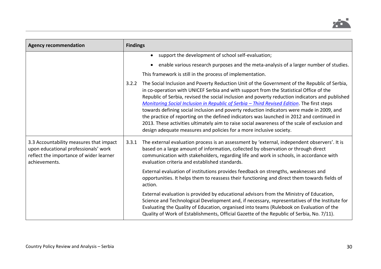

| <b>Agency recommendation</b>                                                                                                                | <b>Findings</b> |                                                                                                                                                                                                                                                                                                                                                                                                                                                                                                                                                                                                                                                                                                                                                           |
|---------------------------------------------------------------------------------------------------------------------------------------------|-----------------|-----------------------------------------------------------------------------------------------------------------------------------------------------------------------------------------------------------------------------------------------------------------------------------------------------------------------------------------------------------------------------------------------------------------------------------------------------------------------------------------------------------------------------------------------------------------------------------------------------------------------------------------------------------------------------------------------------------------------------------------------------------|
|                                                                                                                                             |                 | • support the development of school self-evaluation;                                                                                                                                                                                                                                                                                                                                                                                                                                                                                                                                                                                                                                                                                                      |
|                                                                                                                                             |                 | enable various research purposes and the meta-analysis of a larger number of studies.                                                                                                                                                                                                                                                                                                                                                                                                                                                                                                                                                                                                                                                                     |
|                                                                                                                                             |                 | This framework is still in the process of implementation.                                                                                                                                                                                                                                                                                                                                                                                                                                                                                                                                                                                                                                                                                                 |
|                                                                                                                                             | 3.2.2           | The Social Inclusion and Poverty Reduction Unit of the Government of the Republic of Serbia,<br>in co-operation with UNICEF Serbia and with support from the Statistical Office of the<br>Republic of Serbia, revised the social inclusion and poverty reduction indicators and published<br>Monitoring Social Inclusion in Republic of Serbia - Third Revised Edition. The first steps<br>towards defining social inclusion and poverty reduction indicators were made in 2009, and<br>the practice of reporting on the defined indicators was launched in 2012 and continued in<br>2013. These activities ultimately aim to raise social awareness of the scale of exclusion and<br>design adequate measures and policies for a more inclusive society. |
| 3.3 Accountability measures that impact<br>upon educational professionals' work<br>reflect the importance of wider learner<br>achievements. | 3.3.1           | The external evaluation process is an assessment by 'external, independent observers'. It is<br>based on a large amount of information, collected by observation or through direct<br>communication with stakeholders, regarding life and work in schools, in accordance with<br>evaluation criteria and established standards.                                                                                                                                                                                                                                                                                                                                                                                                                           |
|                                                                                                                                             |                 | External evaluation of institutions provides feedback on strengths, weaknesses and<br>opportunities. It helps them to reassess their functioning and direct them towards fields of<br>action.                                                                                                                                                                                                                                                                                                                                                                                                                                                                                                                                                             |
|                                                                                                                                             |                 | External evaluation is provided by educational advisors from the Ministry of Education,<br>Science and Technological Development and, if necessary, representatives of the Institute for<br>Evaluating the Quality of Education, organised into teams (Rulebook on Evaluation of the<br>Quality of Work of Establishments, Official Gazette of the Republic of Serbia, No. 7/11).                                                                                                                                                                                                                                                                                                                                                                         |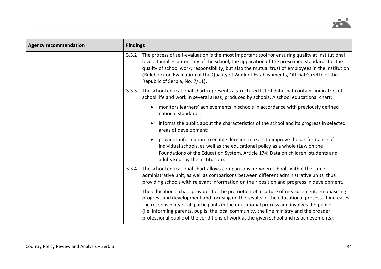

| <b>Agency recommendation</b> | <b>Findings</b> |                                                                                                                                                                                                                                                                                                                                                                                                                                                                                |  |
|------------------------------|-----------------|--------------------------------------------------------------------------------------------------------------------------------------------------------------------------------------------------------------------------------------------------------------------------------------------------------------------------------------------------------------------------------------------------------------------------------------------------------------------------------|--|
|                              | 3.3.2           | The process of self-evaluation is the most important tool for ensuring quality at institutional<br>level. It implies autonomy of the school, the application of the prescribed standards for the<br>quality of school work, responsibility, but also the mutual trust of employees in the institution<br>(Rulebook on Evaluation of the Quality of Work of Establishments, Official Gazette of the<br>Republic of Serbia, No. 7/11).                                           |  |
|                              | 3.3.3           | The school educational chart represents a structured list of data that contains indicators of<br>school life and work in several areas, produced by schools. A school educational chart:                                                                                                                                                                                                                                                                                       |  |
|                              |                 | monitors learners' achievements in schools in accordance with previously defined<br>national standards;                                                                                                                                                                                                                                                                                                                                                                        |  |
|                              |                 | informs the public about the characteristics of the school and its progress in selected<br>areas of development;                                                                                                                                                                                                                                                                                                                                                               |  |
|                              |                 | provides information to enable decision-makers to improve the performance of<br>individual schools, as well as the educational policy as a whole (Law on the<br>Foundations of the Education System, Article 174: Data on children, students and<br>adults kept by the institution).                                                                                                                                                                                           |  |
|                              | 3.3.4           | The school educational chart allows comparisons between schools within the same<br>administrative unit, as well as comparisons between different administrative units, thus<br>providing schools with relevant information on their position and progress in development.                                                                                                                                                                                                      |  |
|                              |                 | The educational chart provides for the promotion of a culture of measurement, emphasising<br>progress and development and focusing on the results of the educational process. It increases<br>the responsibility of all participants in the educational process and involves the public<br>(i.e. informing parents, pupils, the local community, the line ministry and the broader<br>professional public of the conditions of work at the given school and its achievements). |  |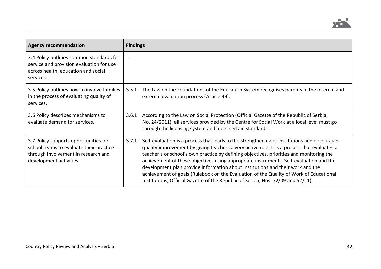

| <b>Agency recommendation</b>                                                                                                                       | <b>Findings</b>                                                                                                                                                                                                                                                                                                                                                                                                                                                                                                                                                                                                                                           |
|----------------------------------------------------------------------------------------------------------------------------------------------------|-----------------------------------------------------------------------------------------------------------------------------------------------------------------------------------------------------------------------------------------------------------------------------------------------------------------------------------------------------------------------------------------------------------------------------------------------------------------------------------------------------------------------------------------------------------------------------------------------------------------------------------------------------------|
| 3.4 Policy outlines common standards for<br>service and provision evaluation for use<br>across health, education and social<br>services.           | $\overline{\phantom{m}}$                                                                                                                                                                                                                                                                                                                                                                                                                                                                                                                                                                                                                                  |
| 3.5 Policy outlines how to involve families<br>in the process of evaluating quality of<br>services.                                                | The Law on the Foundations of the Education System recognises parents in the internal and<br>3.5.1<br>external evaluation process (Article 49).                                                                                                                                                                                                                                                                                                                                                                                                                                                                                                           |
| 3.6 Policy describes mechanisms to<br>evaluate demand for services.                                                                                | According to the Law on Social Protection (Official Gazette of the Republic of Serbia,<br>3.6.1<br>No. 24/2011), all services provided by the Centre for Social Work at a local level must go<br>through the licensing system and meet certain standards.                                                                                                                                                                                                                                                                                                                                                                                                 |
| 3.7 Policy supports opportunities for<br>school teams to evaluate their practice<br>through involvement in research and<br>development activities. | Self-evaluation is a process that leads to the strengthening of institutions and encourages<br>3.7.1<br>quality improvement by giving teachers a very active role. It is a process that evaluates a<br>teacher's or school's own practice by defining objectives, priorities and monitoring the<br>achievement of these objectives using appropriate instruments. Self-evaluation and the<br>development plan provide information about institutions and their work and the<br>achievement of goals (Rulebook on the Evaluation of the Quality of Work of Educational<br>Institutions, Official Gazette of the Republic of Serbia, Nos. 72/09 and 52/11). |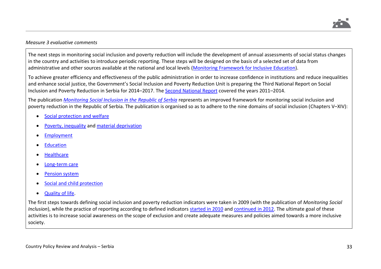

## *Measure 3 evaluative comments*

The next steps in monitoring social inclusion and poverty reduction will include the development of annual assessments of social status changes in the country and activities to introduce periodic reporting. These steps will be designed on the basis of a selected set of data from administrative and other sources available at the national and local levels [\(Monitoring Framework for Inclusive Education\)](http://socijalnoukljucivanje.gov.rs/wp-content/uploads/2014/11/Okvir-za-pracenje-inkluzivnog-obrazovanja-u-Srbiji-eng.pdf).

To achieve greater efficiency and effectiveness of the public administration in order to increase confidence in institutions and reduce inequalities and enhance social justice, the Government's Social Inclusion and Poverty Reduction Unit is preparing the Third National Report on Social Inclusion and Poverty Reduction in Serbia for 2014–2017. The [Second National Report](http://socijalnoukljucivanje.gov.rs/wp-content/uploads/2014/11/Second-National-Report-on-Social-Inclusion-and-Poverty-Reduction-final.pdf) covered the years 2011–2014.

The publication *[Monitoring Social Inclusion in the Republic of Serbia](http://socijalnoukljucivanje.gov.rs/wp-content/uploads/2014/06/Pracenje-drustvene-ukljucenosti-u-Srbiji.pdf)* represents an improved framework for monitoring social inclusion and poverty reduction in the Republic of Serbia. The publication is organised so as to adhere to the nine domains of social inclusion (Chapters V–XIV):

- [Social protection and welfare](http://socijalnoukljucivanje.gov.rs/wp-content/uploads/2017/10/Pracenje_socijalne_ukljucenosti_u_Republici_Srbiji_trece_dopunjeno_izdanje_Indikatori_socijalne_zastite_i_socijalne_sigurnosti.pdf)
- [Poverty, inequality](http://socijalnoukljucivanje.gov.rs/wp-content/uploads/2017/10/Pracenje_socijalne_ukljucenosti_u_Republici_Srbiji_trece_dopunjeno_izdanje_Indikatori_siromastva_i_nejednakosti.pdf) an[d material deprivation](http://socijalnoukljucivanje.gov.rs/wp-content/uploads/2017/10/Pracenje_socijalne_ukljucenosti_u_Republici_Srbiji_trece_dopunjeno_izdanje_Indikatori_materijalne_deprivacije.pdf)
- **[Employment](http://socijalnoukljucivanje.gov.rs/wp-content/uploads/2017/10/Pracenje_socijalne_ukljucenosti_u_Republici_Srbiji_trece_dopunjeno_izdanje_Indikatori_zaposlenosti_i_trzista_rada.pdf)**
- **[Education](http://socijalnoukljucivanje.gov.rs/wp-content/uploads/2017/10/Pracenje_socijalne_ukljucenosti_u_Republici_Srbiji_trece_dopunjeno_izdanje_Indikatori_obrazovanja.pdf)**
- **[Healthcare](http://socijalnoukljucivanje.gov.rs/wp-content/uploads/2017/10/Pracenje_socijalne_ukljucenosti_u_Republici_Srbiji_trece_dopunjeno_izdanje_Indikatori_zdravlja.pdf)**
- [Long-term care](http://socijalnoukljucivanje.gov.rs/wp-content/uploads/2017/10/Pracenje_socijalne_ukljucenosti_u_Republici_Srbiji_trece_dopunjeno_izdanje_Indikatori_dugotrajne_nege.pdf)
- [Pension system](http://socijalnoukljucivanje.gov.rs/wp-content/uploads/2017/10/Pracenje_socijalne_ukljucenosti_u_Republici_Srbiji_trece_dopunjeno_izdanje_Penzijski_indikatori_eng.pdf)
- Social and child protection
- [Quality of life.](http://socijalnoukljucivanje.gov.rs/wp-content/uploads/2017/10/Pracenje_socijalne_ukljucenosti_u_Republici_Srbiji_trece_dopunjeno_izdanje_Indikatori_kvaliteta_zivota.pdf)

The first steps towards defining social inclusion and poverty reduction indicators were taken in 2009 (with the publication of *Monitoring Social Inclusion*), while the practice of reporting according to defined indicators [started in 2010](http://socijalnoukljucivanje.gov.rs/wp-content/uploads/2014/04/Pregled-stanja-socijalne-ukljucenosti-u-Srbiji-jul-2010.pdf) and [continued in 2012.](http://socijalnoukljucivanje.gov.rs/wp-content/uploads/2014/06/Pracenje-stanja-socijalne-iskljucenosti-Avg-2012-SRP-Izmene.pdf) The ultimate goal of these activities is to increase social awareness on the scope of exclusion and create adequate measures and policies aimed towards a more inclusive society.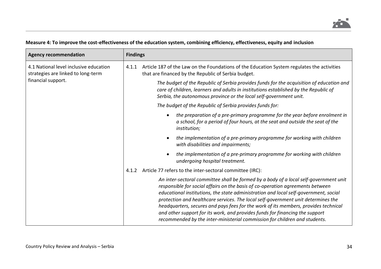

# **Measure 4: To improve the cost-effectiveness of the education system, combining efficiency, effectiveness, equity and inclusion**

| <b>Agency recommendation</b>                                                                       | <b>Findings</b>                                                                                                                                                                                                                                                                                                                                                                                                                                                                                                                                                                                           |
|----------------------------------------------------------------------------------------------------|-----------------------------------------------------------------------------------------------------------------------------------------------------------------------------------------------------------------------------------------------------------------------------------------------------------------------------------------------------------------------------------------------------------------------------------------------------------------------------------------------------------------------------------------------------------------------------------------------------------|
| 4.1 National level inclusive education<br>strategies are linked to long-term<br>financial support. | Article 187 of the Law on the Foundations of the Education System regulates the activities<br>4.1.1<br>that are financed by the Republic of Serbia budget.                                                                                                                                                                                                                                                                                                                                                                                                                                                |
|                                                                                                    | The budget of the Republic of Serbia provides funds for the acquisition of education and<br>care of children, learners and adults in institutions established by the Republic of<br>Serbia, the autonomous province or the local self-government unit.                                                                                                                                                                                                                                                                                                                                                    |
|                                                                                                    | The budget of the Republic of Serbia provides funds for:                                                                                                                                                                                                                                                                                                                                                                                                                                                                                                                                                  |
|                                                                                                    | the preparation of a pre-primary programme for the year before enrolment in<br>$\bullet$<br>a school, for a period of four hours, at the seat and outside the seat of the<br><i>institution;</i>                                                                                                                                                                                                                                                                                                                                                                                                          |
|                                                                                                    | the implementation of a pre-primary programme for working with children<br>$\bullet$<br>with disabilities and impairments;                                                                                                                                                                                                                                                                                                                                                                                                                                                                                |
|                                                                                                    | the implementation of a pre-primary programme for working with children<br>$\bullet$<br>undergoing hospital treatment.                                                                                                                                                                                                                                                                                                                                                                                                                                                                                    |
|                                                                                                    | Article 77 refers to the inter-sectoral committee (IRC):<br>4.1.2                                                                                                                                                                                                                                                                                                                                                                                                                                                                                                                                         |
|                                                                                                    | An inter-sectoral committee shall be formed by a body of a local self-government unit<br>responsible for social affairs on the basis of co-operation agreements between<br>educational institutions, the state administration and local self-government, social<br>protection and healthcare services. The local self-government unit determines the<br>headquarters, secures and pays fees for the work of its members, provides technical<br>and other support for its work, and provides funds for financing the support<br>recommended by the inter-ministerial commission for children and students. |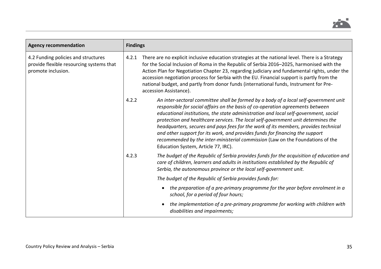

| <b>Agency recommendation</b>                                                                          | <b>Findings</b> |                                                                                                                                                                                                                                                                                                                                                                                                                                                                                                                                                                                                                                                      |
|-------------------------------------------------------------------------------------------------------|-----------------|------------------------------------------------------------------------------------------------------------------------------------------------------------------------------------------------------------------------------------------------------------------------------------------------------------------------------------------------------------------------------------------------------------------------------------------------------------------------------------------------------------------------------------------------------------------------------------------------------------------------------------------------------|
| 4.2 Funding policies and structures<br>provide flexible resourcing systems that<br>promote inclusion. | 4.2.1           | There are no explicit inclusive education strategies at the national level. There is a Strategy<br>for the Social Inclusion of Roma in the Republic of Serbia 2016-2025, harmonised with the<br>Action Plan for Negotiation Chapter 23, regarding judiciary and fundamental rights, under the<br>accession negotiation process for Serbia with the EU. Financial support is partly from the<br>national budget, and partly from donor funds (international funds, Instrument for Pre-<br>accession Assistance).                                                                                                                                      |
|                                                                                                       | 4.2.2           | An inter-sectoral committee shall be formed by a body of a local self-government unit<br>responsible for social affairs on the basis of co-operation agreements between<br>educational institutions, the state administration and local self-government, social<br>protection and healthcare services. The local self-government unit determines the<br>headquarters, secures and pays fees for the work of its members, provides technical<br>and other support for its work, and provides funds for financing the support<br>recommended by the inter-ministerial commission (Law on the Foundations of the<br>Education System, Article 77, IRC). |
|                                                                                                       | 4.2.3           | The budget of the Republic of Serbia provides funds for the acquisition of education and<br>care of children, learners and adults in institutions established by the Republic of<br>Serbia, the autonomous province or the local self-government unit.                                                                                                                                                                                                                                                                                                                                                                                               |
|                                                                                                       |                 | The budget of the Republic of Serbia provides funds for:                                                                                                                                                                                                                                                                                                                                                                                                                                                                                                                                                                                             |
|                                                                                                       |                 | the preparation of a pre-primary programme for the year before enrolment in a<br>school, for a period of four hours;                                                                                                                                                                                                                                                                                                                                                                                                                                                                                                                                 |
|                                                                                                       |                 | the implementation of a pre-primary programme for working with children with<br>$\bullet$<br>disabilities and impairments;                                                                                                                                                                                                                                                                                                                                                                                                                                                                                                                           |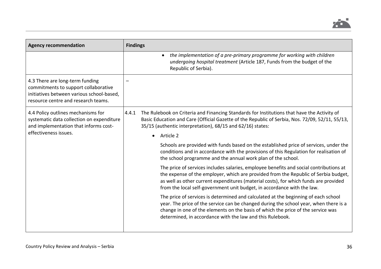

| <b>Agency recommendation</b>                                                                                                                                | <b>Findings</b>                                                                                                                                                                                                                                                                                                                                  |
|-------------------------------------------------------------------------------------------------------------------------------------------------------------|--------------------------------------------------------------------------------------------------------------------------------------------------------------------------------------------------------------------------------------------------------------------------------------------------------------------------------------------------|
|                                                                                                                                                             | the implementation of a pre-primary programme for working with children<br>undergoing hospital treatment (Article 187, Funds from the budget of the<br>Republic of Serbia).                                                                                                                                                                      |
| 4.3 There are long-term funding<br>commitments to support collaborative<br>initiatives between various school-based,<br>resource centre and research teams. |                                                                                                                                                                                                                                                                                                                                                  |
| 4.4 Policy outlines mechanisms for<br>systematic data collection on expenditure<br>and implementation that informs cost-<br>effectiveness issues.           | The Rulebook on Criteria and Financing Standards for Institutions that have the Activity of<br>4.4.1<br>Basic Education and Care (Official Gazette of the Republic of Serbia, Nos. 72/09, 52/11, 55/13,<br>35/15 (authentic interpretation), 68/15 and 62/16) states:                                                                            |
|                                                                                                                                                             | Article 2<br>$\bullet$                                                                                                                                                                                                                                                                                                                           |
|                                                                                                                                                             | Schools are provided with funds based on the established price of services, under the<br>conditions and in accordance with the provisions of this Regulation for realisation of<br>the school programme and the annual work plan of the school.                                                                                                  |
|                                                                                                                                                             | The price of services includes salaries, employee benefits and social contributions at<br>the expense of the employer, which are provided from the Republic of Serbia budget,<br>as well as other current expenditures (material costs), for which funds are provided<br>from the local self-government unit budget, in accordance with the law. |
|                                                                                                                                                             | The price of services is determined and calculated at the beginning of each school<br>year. The price of the service can be changed during the school year, when there is a<br>change in one of the elements on the basis of which the price of the service was<br>determined, in accordance with the law and this Rulebook.                     |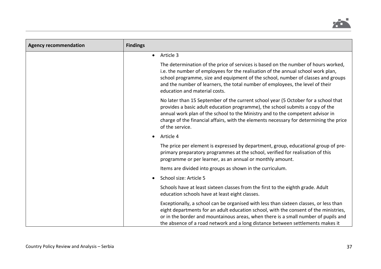

| <b>Agency recommendation</b> | <b>Findings</b>                                                                                                                                                                                                                                                                                                                                                              |
|------------------------------|------------------------------------------------------------------------------------------------------------------------------------------------------------------------------------------------------------------------------------------------------------------------------------------------------------------------------------------------------------------------------|
|                              | Article 3<br>$\bullet$                                                                                                                                                                                                                                                                                                                                                       |
|                              | The determination of the price of services is based on the number of hours worked,<br>i.e. the number of employees for the realisation of the annual school work plan,<br>school programme, size and equipment of the school, number of classes and groups<br>and the number of learners, the total number of employees, the level of their<br>education and material costs. |
|                              | No later than 15 September of the current school year (5 October for a school that<br>provides a basic adult education programme), the school submits a copy of the<br>annual work plan of the school to the Ministry and to the competent advisor in<br>charge of the financial affairs, with the elements necessary for determining the price<br>of the service.           |
|                              | Article 4                                                                                                                                                                                                                                                                                                                                                                    |
|                              | The price per element is expressed by department, group, educational group of pre-<br>primary preparatory programmes at the school, verified for realisation of this<br>programme or per learner, as an annual or monthly amount.                                                                                                                                            |
|                              | Items are divided into groups as shown in the curriculum.                                                                                                                                                                                                                                                                                                                    |
|                              | School size: Article 5                                                                                                                                                                                                                                                                                                                                                       |
|                              | Schools have at least sixteen classes from the first to the eighth grade. Adult<br>education schools have at least eight classes.                                                                                                                                                                                                                                            |
|                              | Exceptionally, a school can be organised with less than sixteen classes, or less than<br>eight departments for an adult education school, with the consent of the ministries,<br>or in the border and mountainous areas, when there is a small number of pupils and<br>the absence of a road network and a long distance between settlements makes it                        |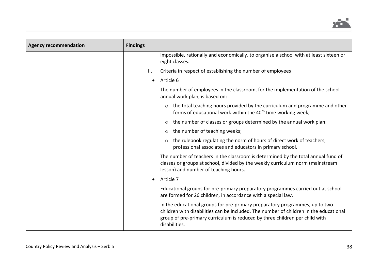

| <b>Agency recommendation</b> | <b>Findings</b>                                                                                                                                                                                                                                                      |
|------------------------------|----------------------------------------------------------------------------------------------------------------------------------------------------------------------------------------------------------------------------------------------------------------------|
|                              | impossible, rationally and economically, to organise a school with at least sixteen or<br>eight classes.                                                                                                                                                             |
|                              | ΙΙ.<br>Criteria in respect of establishing the number of employees                                                                                                                                                                                                   |
|                              | Article 6<br>$\bullet$                                                                                                                                                                                                                                               |
|                              | The number of employees in the classroom, for the implementation of the school<br>annual work plan, is based on:                                                                                                                                                     |
|                              | the total teaching hours provided by the curriculum and programme and other<br>forms of educational work within the 40 <sup>th</sup> time working week;                                                                                                              |
|                              | the number of classes or groups determined by the annual work plan;                                                                                                                                                                                                  |
|                              | the number of teaching weeks;<br>$\circ$                                                                                                                                                                                                                             |
|                              | the rulebook regulating the norm of hours of direct work of teachers,<br>professional associates and educators in primary school.                                                                                                                                    |
|                              | The number of teachers in the classroom is determined by the total annual fund of<br>classes or groups at school, divided by the weekly curriculum norm (mainstream<br>lesson) and number of teaching hours.                                                         |
|                              | Article 7                                                                                                                                                                                                                                                            |
|                              | Educational groups for pre-primary preparatory programmes carried out at school<br>are formed for 26 children, in accordance with a special law.                                                                                                                     |
|                              | In the educational groups for pre-primary preparatory programmes, up to two<br>children with disabilities can be included. The number of children in the educational<br>group of pre-primary curriculum is reduced by three children per child with<br>disabilities. |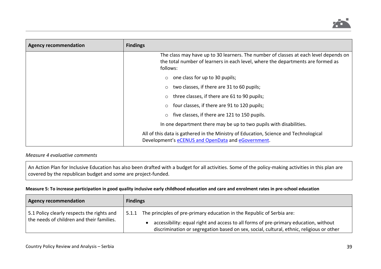

| <b>Agency recommendation</b> | <b>Findings</b>                                                                                                                                                                     |
|------------------------------|-------------------------------------------------------------------------------------------------------------------------------------------------------------------------------------|
|                              | The class may have up to 30 learners. The number of classes at each level depends on<br>the total number of learners in each level, where the departments are formed as<br>follows: |
|                              | one class for up to 30 pupils;<br>$\circ$                                                                                                                                           |
|                              | two classes, if there are 31 to 60 pupils;                                                                                                                                          |
|                              | three classes, if there are 61 to 90 pupils;                                                                                                                                        |
|                              | four classes, if there are 91 to 120 pupils;                                                                                                                                        |
|                              | five classes, if there are 121 to 150 pupils.                                                                                                                                       |
|                              | In one department there may be up to two pupils with disabilities.                                                                                                                  |
|                              | All of this data is gathered in the Ministry of Education, Science and Technological<br>Development's eCENUS and OpenData and eGovernment.                                          |

# *Measure 4 evaluative comments*

An Action Plan for Inclusive Education has also been drafted with a budget for all activities. Some of the policy-making activities in this plan are covered by the republican budget and some are project-funded.

### **Measure 5: To increase participation in good quality inclusive early childhood education and care and enrolment rates in pre-school education**

| <b>Agency recommendation</b>                                                            | <b>Findings</b>                                                                                                                                                                                                                                                     |
|-----------------------------------------------------------------------------------------|---------------------------------------------------------------------------------------------------------------------------------------------------------------------------------------------------------------------------------------------------------------------|
| 5.1 Policy clearly respects the rights and<br>the needs of children and their families. | The principles of pre-primary education in the Republic of Serbia are:<br>5.1.1<br>accessibility: equal right and access to all forms of pre-primary education, without<br>discrimination or segregation based on sex, social, cultural, ethnic, religious or other |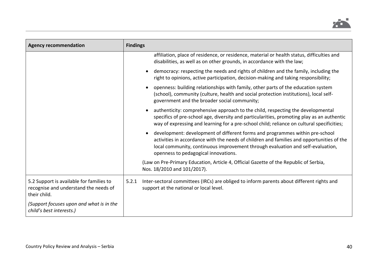

| <b>Agency recommendation</b>                                                                      | <b>Findings</b>                                                                                                                                                                                                                                                                                      |
|---------------------------------------------------------------------------------------------------|------------------------------------------------------------------------------------------------------------------------------------------------------------------------------------------------------------------------------------------------------------------------------------------------------|
|                                                                                                   | affiliation, place of residence, or residence, material or health status, difficulties and<br>disabilities, as well as on other grounds, in accordance with the law;                                                                                                                                 |
|                                                                                                   | democracy: respecting the needs and rights of children and the family, including the<br>$\bullet$<br>right to opinions, active participation, decision-making and taking responsibility;                                                                                                             |
|                                                                                                   | openness: building relationships with family, other parts of the education system<br>(school), community (culture, health and social protection institutions), local self-<br>government and the broader social community;                                                                           |
|                                                                                                   | authenticity: comprehensive approach to the child, respecting the developmental<br>$\bullet$<br>specifics of pre-school age, diversity and particularities, promoting play as an authentic<br>way of expressing and learning for a pre-school child; reliance on cultural specificities;             |
|                                                                                                   | development: development of different forms and programmes within pre-school<br>activities in accordance with the needs of children and families and opportunities of the<br>local community, continuous improvement through evaluation and self-evaluation,<br>openness to pedagogical innovations. |
|                                                                                                   | (Law on Pre-Primary Education, Article 4, Official Gazette of the Republic of Serbia,<br>Nos. 18/2010 and 101/2017).                                                                                                                                                                                 |
| 5.2 Support is available for families to<br>recognise and understand the needs of<br>their child. | Inter-sectoral committees (IRCs) are obliged to inform parents about different rights and<br>5.2.1<br>support at the national or local level.                                                                                                                                                        |
| (Support focuses upon and what is in the<br>child's best interests.)                              |                                                                                                                                                                                                                                                                                                      |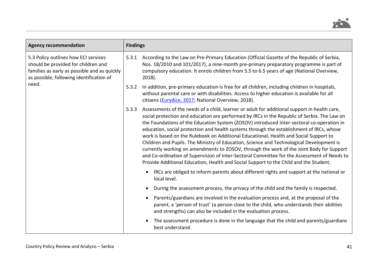

| <b>Agency recommendation</b>                                                                                                                                                     | <b>Findings</b> |                                                                                                                                                                                                                                                                                                                                                                                                                                                                                                                                                                                                                                                                                                                                                                                                                                                               |
|----------------------------------------------------------------------------------------------------------------------------------------------------------------------------------|-----------------|---------------------------------------------------------------------------------------------------------------------------------------------------------------------------------------------------------------------------------------------------------------------------------------------------------------------------------------------------------------------------------------------------------------------------------------------------------------------------------------------------------------------------------------------------------------------------------------------------------------------------------------------------------------------------------------------------------------------------------------------------------------------------------------------------------------------------------------------------------------|
| 5.3 Policy outlines how ECI services<br>should be provided for children and<br>families as early as possible and as quickly<br>as possible, following identification of<br>need. | 5.3.1           | According to the Law on Pre-Primary Education (Official Gazette of the Republic of Serbia,<br>Nos. 18/2010 and 101/2017), a nine-month pre-primary preparatory programme is part of<br>compulsory education. It enrols children from 5.5 to 6.5 years of age (National Overview,<br>$2018$ ).                                                                                                                                                                                                                                                                                                                                                                                                                                                                                                                                                                 |
|                                                                                                                                                                                  | 5.3.2           | In addition, pre-primary education is free for all children, including children in hospitals,<br>without parental care or with disabilities. Access to higher education is available for all<br>citizens (Eurydice, 2017; National Overview, 2018).                                                                                                                                                                                                                                                                                                                                                                                                                                                                                                                                                                                                           |
|                                                                                                                                                                                  | 5.3.3           | Assessments of the needs of a child, learner or adult for additional support in health care,<br>social protection and education are performed by IRCs in the Republic of Serbia. The Law on<br>the Foundations of the Education System (ZOSOV) introduced inter-sectoral co-operation in<br>education, social protection and health systems through the establishment of IRCs, whose<br>work is based on the Rulebook on Additional Educational, Health and Social Support to<br>Children and Pupils. The Ministry of Education, Science and Technological Development is<br>currently working on amendments to ZOSOV, through the work of the Joint Body for Support<br>and Co-ordination of Supervision of Inter-Sectoral Committee for the Assessment of Needs to<br>Provide Additional Education, Health and Social Support to the Child and the Student. |
|                                                                                                                                                                                  |                 | IRCs are obliged to inform parents about different rights and support at the national or<br>local level.                                                                                                                                                                                                                                                                                                                                                                                                                                                                                                                                                                                                                                                                                                                                                      |
|                                                                                                                                                                                  |                 | During the assessment process, the privacy of the child and the family is respected.                                                                                                                                                                                                                                                                                                                                                                                                                                                                                                                                                                                                                                                                                                                                                                          |
|                                                                                                                                                                                  |                 | Parents/guardians are involved in the evaluation process and, at the proposal of the<br>parent, a 'person of trust' (a person close to the child, who understands their abilities<br>and strengths) can also be included in the evaluation process.                                                                                                                                                                                                                                                                                                                                                                                                                                                                                                                                                                                                           |
|                                                                                                                                                                                  |                 | The assessment procedure is done in the language that the child and parents/guardians<br>best understand.                                                                                                                                                                                                                                                                                                                                                                                                                                                                                                                                                                                                                                                                                                                                                     |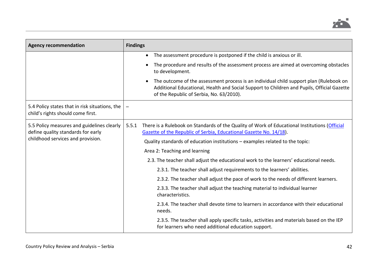

| <b>Agency recommendation</b>                                                        | <b>Findings</b>                                                                                                                                                                                                                               |
|-------------------------------------------------------------------------------------|-----------------------------------------------------------------------------------------------------------------------------------------------------------------------------------------------------------------------------------------------|
|                                                                                     | The assessment procedure is postponed if the child is anxious or ill.<br>$\bullet$                                                                                                                                                            |
|                                                                                     | The procedure and results of the assessment process are aimed at overcoming obstacles<br>$\bullet$<br>to development.                                                                                                                         |
|                                                                                     | The outcome of the assessment process is an individual child support plan (Rulebook on<br>$\bullet$<br>Additional Educational, Health and Social Support to Children and Pupils, Official Gazette<br>of the Republic of Serbia, No. 63/2010). |
| 5.4 Policy states that in risk situations, the<br>child's rights should come first. |                                                                                                                                                                                                                                               |
| 5.5 Policy measures and guidelines clearly<br>define quality standards for early    | There is a Rulebook on Standards of the Quality of Work of Educational Institutions (Official<br>5.5.1<br>Gazette of the Republic of Serbia, Educational Gazette No. 14/18).                                                                  |
| childhood services and provision.                                                   | Quality standards of education institutions - examples related to the topic:                                                                                                                                                                  |
|                                                                                     | Area 2: Teaching and learning                                                                                                                                                                                                                 |
|                                                                                     | 2.3. The teacher shall adjust the educational work to the learners' educational needs.                                                                                                                                                        |
|                                                                                     | 2.3.1. The teacher shall adjust requirements to the learners' abilities.                                                                                                                                                                      |
|                                                                                     | 2.3.2. The teacher shall adjust the pace of work to the needs of different learners.                                                                                                                                                          |
|                                                                                     | 2.3.3. The teacher shall adjust the teaching material to individual learner<br>characteristics.                                                                                                                                               |
|                                                                                     | 2.3.4. The teacher shall devote time to learners in accordance with their educational<br>needs.                                                                                                                                               |
|                                                                                     | 2.3.5. The teacher shall apply specific tasks, activities and materials based on the IEP<br>for learners who need additional education support.                                                                                               |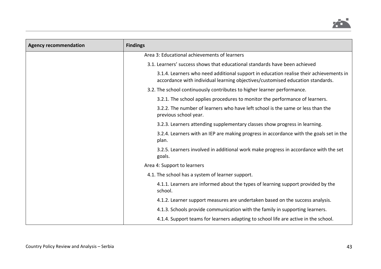

| <b>Agency recommendation</b> | <b>Findings</b>                                                                                                                                                          |
|------------------------------|--------------------------------------------------------------------------------------------------------------------------------------------------------------------------|
|                              | Area 3: Educational achievements of learners                                                                                                                             |
|                              | 3.1. Learners' success shows that educational standards have been achieved                                                                                               |
|                              | 3.1.4. Learners who need additional support in education realise their achievements in<br>accordance with individual learning objectives/customised education standards. |
|                              | 3.2. The school continuously contributes to higher learner performance.                                                                                                  |
|                              | 3.2.1. The school applies procedures to monitor the performance of learners.                                                                                             |
|                              | 3.2.2. The number of learners who have left school is the same or less than the<br>previous school year.                                                                 |
|                              | 3.2.3. Learners attending supplementary classes show progress in learning.                                                                                               |
|                              | 3.2.4. Learners with an IEP are making progress in accordance with the goals set in the<br>plan.                                                                         |
|                              | 3.2.5. Learners involved in additional work make progress in accordance with the set<br>goals.                                                                           |
|                              | Area 4: Support to learners                                                                                                                                              |
|                              | 4.1. The school has a system of learner support.                                                                                                                         |
|                              | 4.1.1. Learners are informed about the types of learning support provided by the<br>school.                                                                              |
|                              | 4.1.2. Learner support measures are undertaken based on the success analysis.                                                                                            |
|                              | 4.1.3. Schools provide communication with the family in supporting learners.                                                                                             |
|                              | 4.1.4. Support teams for learners adapting to school life are active in the school.                                                                                      |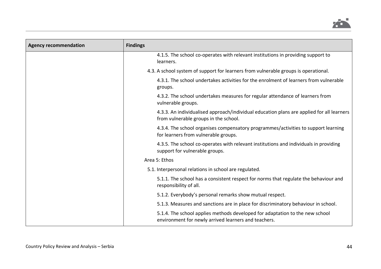

| <b>Agency recommendation</b> | <b>Findings</b>                                                                                                                      |
|------------------------------|--------------------------------------------------------------------------------------------------------------------------------------|
|                              | 4.1.5. The school co-operates with relevant institutions in providing support to<br>learners.                                        |
|                              | 4.3. A school system of support for learners from vulnerable groups is operational.                                                  |
|                              | 4.3.1. The school undertakes activities for the enrolment of learners from vulnerable<br>groups.                                     |
|                              | 4.3.2. The school undertakes measures for regular attendance of learners from<br>vulnerable groups.                                  |
|                              | 4.3.3. An individualised approach/individual education plans are applied for all learners<br>from vulnerable groups in the school.   |
|                              | 4.3.4. The school organises compensatory programmes/activities to support learning<br>for learners from vulnerable groups.           |
|                              | 4.3.5. The school co-operates with relevant institutions and individuals in providing<br>support for vulnerable groups.              |
|                              | Area 5: Ethos                                                                                                                        |
|                              | 5.1. Interpersonal relations in school are regulated.                                                                                |
|                              | 5.1.1. The school has a consistent respect for norms that regulate the behaviour and<br>responsibility of all.                       |
|                              | 5.1.2. Everybody's personal remarks show mutual respect.                                                                             |
|                              | 5.1.3. Measures and sanctions are in place for discriminatory behaviour in school.                                                   |
|                              | 5.1.4. The school applies methods developed for adaptation to the new school<br>environment for newly arrived learners and teachers. |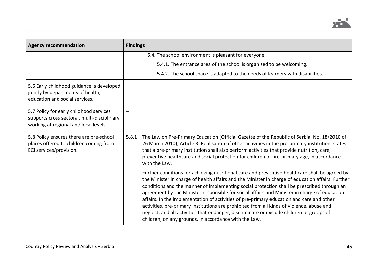

| <b>Agency recommendation</b>                                                                                                    | <b>Findings</b>                                                                                                                                                                                                                                                                                                                                                                                                                                                                                                                                                                                                                                                                                                                                 |
|---------------------------------------------------------------------------------------------------------------------------------|-------------------------------------------------------------------------------------------------------------------------------------------------------------------------------------------------------------------------------------------------------------------------------------------------------------------------------------------------------------------------------------------------------------------------------------------------------------------------------------------------------------------------------------------------------------------------------------------------------------------------------------------------------------------------------------------------------------------------------------------------|
|                                                                                                                                 | 5.4. The school environment is pleasant for everyone.                                                                                                                                                                                                                                                                                                                                                                                                                                                                                                                                                                                                                                                                                           |
|                                                                                                                                 | 5.4.1. The entrance area of the school is organised to be welcoming.                                                                                                                                                                                                                                                                                                                                                                                                                                                                                                                                                                                                                                                                            |
|                                                                                                                                 | 5.4.2. The school space is adapted to the needs of learners with disabilities.                                                                                                                                                                                                                                                                                                                                                                                                                                                                                                                                                                                                                                                                  |
| 5.6 Early childhood guidance is developed<br>jointly by departments of health,<br>education and social services.                |                                                                                                                                                                                                                                                                                                                                                                                                                                                                                                                                                                                                                                                                                                                                                 |
| 5.7 Policy for early childhood services<br>supports cross sectoral, multi-disciplinary<br>working at regional and local levels. |                                                                                                                                                                                                                                                                                                                                                                                                                                                                                                                                                                                                                                                                                                                                                 |
| 5.8 Policy ensures there are pre-school<br>places offered to children coming from<br>ECI services/provision.                    | The Law on Pre-Primary Education (Official Gazette of the Republic of Serbia, No. 18/2010 of<br>5.8.1<br>26 March 2010), Article 3: Realisation of other activities in the pre-primary institution, states<br>that a pre-primary institution shall also perform activities that provide nutrition, care,<br>preventive healthcare and social protection for children of pre-primary age, in accordance<br>with the Law.                                                                                                                                                                                                                                                                                                                         |
|                                                                                                                                 | Further conditions for achieving nutritional care and preventive healthcare shall be agreed by<br>the Minister in charge of health affairs and the Minister in charge of education affairs. Further<br>conditions and the manner of implementing social protection shall be prescribed through an<br>agreement by the Minister responsible for social affairs and Minister in charge of education<br>affairs. In the implementation of activities of pre-primary education and care and other<br>activities, pre-primary institutions are prohibited from all kinds of violence, abuse and<br>neglect, and all activities that endanger, discriminate or exclude children or groups of<br>children, on any grounds, in accordance with the Law. |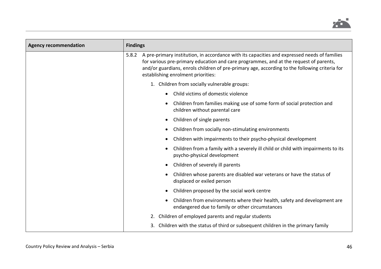

| <b>Agency recommendation</b> | <b>Findings</b>                                                                                                                                                                                                                                                                                                                       |
|------------------------------|---------------------------------------------------------------------------------------------------------------------------------------------------------------------------------------------------------------------------------------------------------------------------------------------------------------------------------------|
|                              | A pre-primary institution, in accordance with its capacities and expressed needs of families<br>5.8.2<br>for various pre-primary education and care programmes, and at the request of parents,<br>and/or guardians, enrols children of pre-primary age, according to the following criteria for<br>establishing enrolment priorities: |
|                              | 1. Children from socially vulnerable groups:                                                                                                                                                                                                                                                                                          |
|                              | Child victims of domestic violence                                                                                                                                                                                                                                                                                                    |
|                              | Children from families making use of some form of social protection and<br>children without parental care                                                                                                                                                                                                                             |
|                              | Children of single parents                                                                                                                                                                                                                                                                                                            |
|                              | Children from socially non-stimulating environments                                                                                                                                                                                                                                                                                   |
|                              | Children with impairments to their psycho-physical development                                                                                                                                                                                                                                                                        |
|                              | Children from a family with a severely ill child or child with impairments to its<br>psycho-physical development                                                                                                                                                                                                                      |
|                              | Children of severely ill parents                                                                                                                                                                                                                                                                                                      |
|                              | Children whose parents are disabled war veterans or have the status of<br>displaced or exiled person                                                                                                                                                                                                                                  |
|                              | Children proposed by the social work centre                                                                                                                                                                                                                                                                                           |
|                              | Children from environments where their health, safety and development are<br>endangered due to family or other circumstances                                                                                                                                                                                                          |
|                              | Children of employed parents and regular students<br>2.                                                                                                                                                                                                                                                                               |
|                              | Children with the status of third or subsequent children in the primary family                                                                                                                                                                                                                                                        |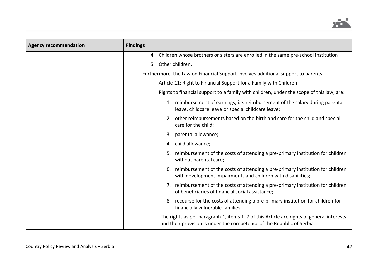

| <b>Agency recommendation</b> | <b>Findings</b>                                                                                                                                                    |
|------------------------------|--------------------------------------------------------------------------------------------------------------------------------------------------------------------|
|                              | 4. Children whose brothers or sisters are enrolled in the same pre-school institution                                                                              |
|                              | 5. Other children.                                                                                                                                                 |
|                              | Furthermore, the Law on Financial Support involves additional support to parents:                                                                                  |
|                              | Article 11: Right to Financial Support for a Family with Children                                                                                                  |
|                              | Rights to financial support to a family with children, under the scope of this law, are:                                                                           |
|                              | 1. reimbursement of earnings, i.e. reimbursement of the salary during parental<br>leave, childcare leave or special childcare leave;                               |
|                              | 2. other reimbursements based on the birth and care for the child and special<br>care for the child;                                                               |
|                              | parental allowance;<br>3.                                                                                                                                          |
|                              | child allowance;<br>4.                                                                                                                                             |
|                              | 5. reimbursement of the costs of attending a pre-primary institution for children<br>without parental care;                                                        |
|                              | reimbursement of the costs of attending a pre-primary institution for children<br>6.<br>with development impairments and children with disabilities;               |
|                              | 7. reimbursement of the costs of attending a pre-primary institution for children<br>of beneficiaries of financial social assistance;                              |
|                              | 8. recourse for the costs of attending a pre-primary institution for children for<br>financially vulnerable families.                                              |
|                              | The rights as per paragraph 1, items 1-7 of this Article are rights of general interests<br>and their provision is under the competence of the Republic of Serbia. |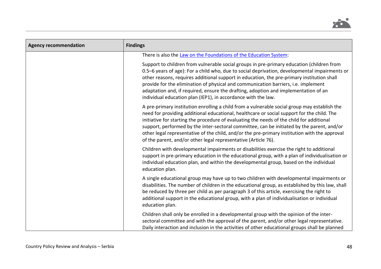

| <b>Agency recommendation</b> | <b>Findings</b>                                                                                                                                                                                                                                                                                                                                                                                                                                                                                                                                          |
|------------------------------|----------------------------------------------------------------------------------------------------------------------------------------------------------------------------------------------------------------------------------------------------------------------------------------------------------------------------------------------------------------------------------------------------------------------------------------------------------------------------------------------------------------------------------------------------------|
|                              | There is also the Law on the Foundations of the Education System:                                                                                                                                                                                                                                                                                                                                                                                                                                                                                        |
|                              | Support to children from vulnerable social groups in pre-primary education (children from<br>0.5-6 years of age): For a child who, due to social deprivation, developmental impairments or<br>other reasons, requires additional support in education, the pre-primary institution shall<br>provide for the elimination of physical and communication barriers, i.e. implement<br>adaptation and, if required, ensure the drafting, adoption and implementation of an<br>individual education plan (IEP1), in accordance with the law.                   |
|                              | A pre-primary institution enrolling a child from a vulnerable social group may establish the<br>need for providing additional educational, healthcare or social support for the child. The<br>initiative for starting the procedure of evaluating the needs of the child for additional<br>support, performed by the inter-sectoral committee, can be initiated by the parent, and/or<br>other legal representative of the child, and/or the pre-primary institution with the approval<br>of the parent, and/or other legal representative (Article 76). |
|                              | Children with developmental impairments or disabilities exercise the right to additional<br>support in pre-primary education in the educational group, with a plan of individualisation or<br>individual education plan, and within the developmental group, based on the individual<br>education plan.                                                                                                                                                                                                                                                  |
|                              | A single educational group may have up to two children with developmental impairments or<br>disabilities. The number of children in the educational group, as established by this law, shall<br>be reduced by three per child as per paragraph 3 of this article, exercising the right to<br>additional support in the educational group, with a plan of individualisation or individual<br>education plan.                                                                                                                                              |
|                              | Children shall only be enrolled in a developmental group with the opinion of the inter-<br>sectoral committee and with the approval of the parent, and/or other legal representative.<br>Daily interaction and inclusion in the activities of other educational groups shall be planned                                                                                                                                                                                                                                                                  |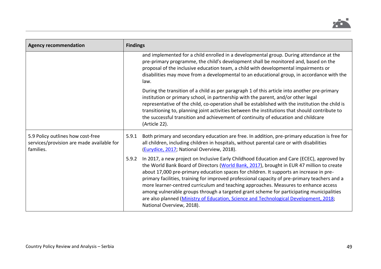

| <b>Agency recommendation</b>                                                                | <b>Findings</b>                                                                                                                                                                                                                                                                                                                                                                                                                                                                                                                                                                                                                                                                                       |  |  |
|---------------------------------------------------------------------------------------------|-------------------------------------------------------------------------------------------------------------------------------------------------------------------------------------------------------------------------------------------------------------------------------------------------------------------------------------------------------------------------------------------------------------------------------------------------------------------------------------------------------------------------------------------------------------------------------------------------------------------------------------------------------------------------------------------------------|--|--|
|                                                                                             | and implemented for a child enrolled in a developmental group. During attendance at the<br>pre-primary programme, the child's development shall be monitored and, based on the<br>proposal of the inclusive education team, a child with developmental impairments or<br>disabilities may move from a developmental to an educational group, in accordance with the<br>law.                                                                                                                                                                                                                                                                                                                           |  |  |
|                                                                                             | During the transition of a child as per paragraph 1 of this article into another pre-primary<br>institution or primary school, in partnership with the parent, and/or other legal<br>representative of the child, co-operation shall be established with the institution the child is<br>transitioning to, planning joint activities between the institutions that should contribute to<br>the successful transition and achievement of continuity of education and childcare<br>(Article 22).                                                                                                                                                                                                        |  |  |
| 5.9 Policy outlines how cost-free<br>services/provision are made available for<br>families. | 5.9.1<br>Both primary and secondary education are free. In addition, pre-primary education is free for<br>all children, including children in hospitals, without parental care or with disabilities<br>(Eurydice, 2017; National Overview, 2018).                                                                                                                                                                                                                                                                                                                                                                                                                                                     |  |  |
|                                                                                             | In 2017, a new project on Inclusive Early Childhood Education and Care (ECEC), approved by<br>5.9.2<br>the World Bank Board of Directors (World Bank, 2017), brought in EUR 47 million to create<br>about 17,000 pre-primary education spaces for children. It supports an increase in pre-<br>primary facilities, training for improved professional capacity of pre-primary teachers and a<br>more learner-centred curriculum and teaching approaches. Measures to enhance access<br>among vulnerable groups through a targeted grant scheme for participating municipalities<br>are also planned (Ministry of Education, Science and Technological Development, 2018;<br>National Overview, 2018). |  |  |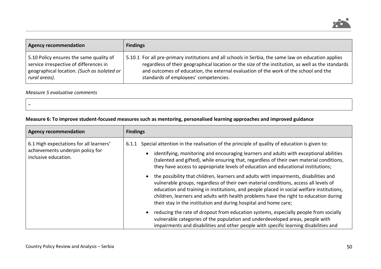

| <b>Agency recommendation</b>                | <b>Findings</b>                                                                                      |
|---------------------------------------------|------------------------------------------------------------------------------------------------------|
| 5.10 Policy ensures the same quality of     | 5.10.1 For all pre-primary institutions and all schools in Serbia, the same law on education applies |
| service irrespective of differences in      | regardless of their geographical location or the size of the institution, as well as the standards   |
| geographical location. (Such as isolated or | and outcomes of education, the external evaluation of the work of the school and the                 |
| rural areas).                               | standards of employees' competencies.                                                                |

# *Measure 5 evaluative comments*

 $\equiv$ 

| Measure 6: To improve student-focused measures such as mentoring, personalised learning approaches and improved guidance |  |  |
|--------------------------------------------------------------------------------------------------------------------------|--|--|
|                                                                                                                          |  |  |

| <b>Agency recommendation</b>                                                                        | <b>Findings</b>                                                                                                                                                                                                                                                                                                                                                                                                                                                                                                                                                                                                                                                                                                                                                                                                           |
|-----------------------------------------------------------------------------------------------------|---------------------------------------------------------------------------------------------------------------------------------------------------------------------------------------------------------------------------------------------------------------------------------------------------------------------------------------------------------------------------------------------------------------------------------------------------------------------------------------------------------------------------------------------------------------------------------------------------------------------------------------------------------------------------------------------------------------------------------------------------------------------------------------------------------------------------|
| 6.1 High expectations for all learners'<br>achievements underpin policy for<br>inclusive education. | Special attention in the realisation of the principle of quality of education is given to:<br>6.1.1<br>identifying, monitoring and encouraging learners and adults with exceptional abilities<br>(talented and gifted), while ensuring that, regardless of their own material conditions,<br>they have access to appropriate levels of education and educational institutions;<br>the possibility that children, learners and adults with impairments, disabilities and<br>vulnerable groups, regardless of their own material conditions, access all levels of<br>education and training in institutions, and people placed in social welfare institutions,<br>children, learners and adults with health problems have the right to education during<br>their stay in the institution and during hospital and home care; |
|                                                                                                     | reducing the rate of dropout from education systems, especially people from socially<br>vulnerable categories of the population and underdeveloped areas, people with<br>impairments and disabilities and other people with specific learning disabilities and                                                                                                                                                                                                                                                                                                                                                                                                                                                                                                                                                            |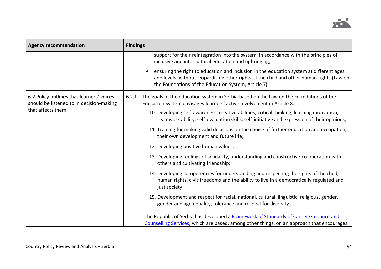

| <b>Agency recommendation</b>                                                          | <b>Findings</b>                                                                                                                                                                                                                              |
|---------------------------------------------------------------------------------------|----------------------------------------------------------------------------------------------------------------------------------------------------------------------------------------------------------------------------------------------|
|                                                                                       | support for their reintegration into the system, in accordance with the principles of<br>inclusive and intercultural education and upbringing;                                                                                               |
|                                                                                       | ensuring the right to education and inclusion in the education system at different ages<br>and levels, without jeopardising other rights of the child and other human rights (Law on<br>the Foundations of the Education System, Article 7). |
| 6.2 Policy outlines that learners' voices<br>should be listened to in decision-making | The goals of the education system in Serbia based on the Law on the Foundations of the<br>6.2.1<br>Education System envisages learners' active involvement in Article 8:                                                                     |
| that affects them.                                                                    | 10. Developing self-awareness, creative abilities, critical thinking, learning motivation,<br>teamwork ability, self-evaluation skills, self-initiative and expression of their opinions;                                                    |
|                                                                                       | 11. Training for making valid decisions on the choice of further education and occupation,<br>their own development and future life;                                                                                                         |
|                                                                                       | 12. Developing positive human values;                                                                                                                                                                                                        |
|                                                                                       | 13. Developing feelings of solidarity, understanding and constructive co-operation with<br>others and cultivating friendship;                                                                                                                |
|                                                                                       | 14. Developing competencies for understanding and respecting the rights of the child,<br>human rights, civic freedoms and the ability to live in a democratically regulated and<br>just society;                                             |
|                                                                                       | 15. Development and respect for racial, national, cultural, linguistic, religious, gender,<br>gender and age equality, tolerance and respect for diversity.                                                                                  |
|                                                                                       | The Republic of Serbia has developed a Framework of Standards of Career Guidance and<br>Counselling Services, which are based, among other things, on an approach that encourages                                                            |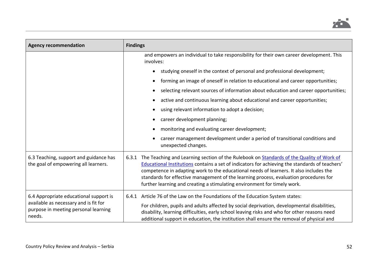

| <b>Agency recommendation</b>                                                                                                      | <b>Findings</b>                                                                                                                                                                                                                                                                                                                                                                                                                                                    |
|-----------------------------------------------------------------------------------------------------------------------------------|--------------------------------------------------------------------------------------------------------------------------------------------------------------------------------------------------------------------------------------------------------------------------------------------------------------------------------------------------------------------------------------------------------------------------------------------------------------------|
|                                                                                                                                   | and empowers an individual to take responsibility for their own career development. This<br>involves:                                                                                                                                                                                                                                                                                                                                                              |
|                                                                                                                                   | studying oneself in the context of personal and professional development;                                                                                                                                                                                                                                                                                                                                                                                          |
|                                                                                                                                   | forming an image of oneself in relation to educational and career opportunities;<br>$\bullet$                                                                                                                                                                                                                                                                                                                                                                      |
|                                                                                                                                   | selecting relevant sources of information about education and career opportunities;                                                                                                                                                                                                                                                                                                                                                                                |
|                                                                                                                                   | active and continuous learning about educational and career opportunities;                                                                                                                                                                                                                                                                                                                                                                                         |
|                                                                                                                                   | using relevant information to adopt a decision;                                                                                                                                                                                                                                                                                                                                                                                                                    |
|                                                                                                                                   | career development planning;                                                                                                                                                                                                                                                                                                                                                                                                                                       |
|                                                                                                                                   | monitoring and evaluating career development;                                                                                                                                                                                                                                                                                                                                                                                                                      |
|                                                                                                                                   | career management development under a period of transitional conditions and<br>unexpected changes.                                                                                                                                                                                                                                                                                                                                                                 |
| 6.3 Teaching, support and guidance has<br>the goal of empowering all learners.                                                    | The Teaching and Learning section of the Rulebook on Standards of the Quality of Work of<br>6.3.1<br>Educational Institutions contains a set of indicators for achieving the standards of teachers'<br>competence in adapting work to the educational needs of learners. It also includes the<br>standards for effective management of the learning process, evaluation procedures for<br>further learning and creating a stimulating environment for timely work. |
| 6.4 Appropriate educational support is<br>available as necessary and is fit for<br>purpose in meeting personal learning<br>needs. | Article 76 of the Law on the Foundations of the Education System states:<br>6.4.1<br>For children, pupils and adults affected by social deprivation, developmental disabilities,<br>disability, learning difficulties, early school leaving risks and who for other reasons need<br>additional support in education, the institution shall ensure the removal of physical and                                                                                      |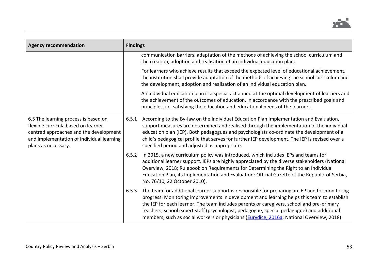

| <b>Agency recommendation</b>                                                                                                                                                              | <b>Findings</b> |                                                                                                                                                                                                                                                                                                                                                                                                                                                                                              |  |
|-------------------------------------------------------------------------------------------------------------------------------------------------------------------------------------------|-----------------|----------------------------------------------------------------------------------------------------------------------------------------------------------------------------------------------------------------------------------------------------------------------------------------------------------------------------------------------------------------------------------------------------------------------------------------------------------------------------------------------|--|
|                                                                                                                                                                                           |                 | communication barriers, adaptation of the methods of achieving the school curriculum and<br>the creation, adoption and realisation of an individual education plan.                                                                                                                                                                                                                                                                                                                          |  |
|                                                                                                                                                                                           |                 | For learners who achieve results that exceed the expected level of educational achievement,<br>the institution shall provide adaptation of the methods of achieving the school curriculum and<br>the development, adoption and realisation of an individual education plan.                                                                                                                                                                                                                  |  |
|                                                                                                                                                                                           |                 | An individual education plan is a special act aimed at the optimal development of learners and<br>the achievement of the outcomes of education, in accordance with the prescribed goals and<br>principles, i.e. satisfying the education and educational needs of the learners.                                                                                                                                                                                                              |  |
| 6.5 The learning process is based on<br>flexible curricula based on learner<br>centred approaches and the development<br>and implementation of individual learning<br>plans as necessary. | 6.5.1           | According to the By-law on the Individual Education Plan Implementation and Evaluation,<br>support measures are determined and realised through the implementation of the individual<br>education plan (IEP). Both pedagogues and psychologists co-ordinate the development of a<br>child's pedagogical profile that serves for further IEP development. The IEP is revised over a<br>specified period and adjusted as appropriate.                                                          |  |
|                                                                                                                                                                                           | 6.5.2           | In 2015, a new curriculum policy was introduced, which includes IEPs and teams for<br>additional learner support. IEPs are highly appreciated by the diverse stakeholders (National<br>Overview, 2018; Rulebook on Requirements for Determining the Right to an Individual<br>Education Plan, its Implementation and Evaluation: Official Gazette of the Republic of Serbia,<br>No. 76/10, 22 October 2010).                                                                                 |  |
|                                                                                                                                                                                           | 6.5.3           | The team for additional learner support is responsible for preparing an IEP and for monitoring<br>progress. Monitoring improvements in development and learning helps this team to establish<br>the IEP for each learner. The team includes parents or caregivers, school and pre-primary<br>teachers, school expert staff (psychologist, pedagogue, special pedagogue) and additional<br>members, such as social workers or physicians ( <i>Eurydice, 2016a</i> ; National Overview, 2018). |  |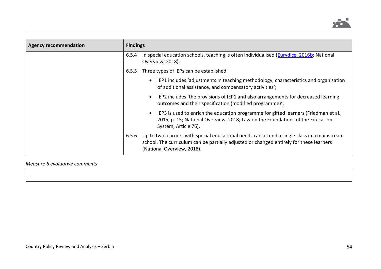

| <b>Agency recommendation</b> | <b>Findings</b> |                                                                                                                                                                                                                      |  |
|------------------------------|-----------------|----------------------------------------------------------------------------------------------------------------------------------------------------------------------------------------------------------------------|--|
|                              | 6.5.4           | In special education schools, teaching is often individualised (Eurydice, 2016b; National<br>Overview, 2018).                                                                                                        |  |
|                              | 6.5.5           | Three types of IEPs can be established:                                                                                                                                                                              |  |
|                              |                 | IEP1 includes 'adjustments in teaching methodology, characteristics and organisation<br>$\bullet$<br>of additional assistance, and compensatory activities';                                                         |  |
|                              |                 | IEP2 includes 'the provisions of IEP1 and also arrangements for decreased learning<br>$\bullet$<br>outcomes and their specification (modified programme)';                                                           |  |
|                              |                 | IEP3 is used to enrich the education programme for gifted learners (Friedman et al.,<br>$\bullet$<br>2015, p. 15; National Overview, 2018; Law on the Foundations of the Education<br>System, Article 76).           |  |
|                              | 6.5.6           | Up to two learners with special educational needs can attend a single class in a mainstream<br>school. The curriculum can be partially adjusted or changed entirely for these learners<br>(National Overview, 2018). |  |

# *Measure 6 evaluative comments*

–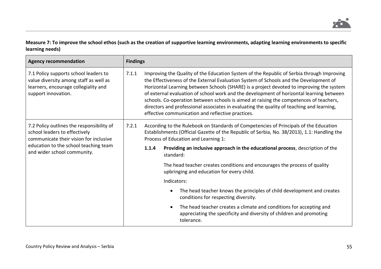**Measure 7: To improve the school ethos (such as the creation of supportive learning environments, adapting learning environments to specific learning needs)**

| <b>Agency recommendation</b>                                                                                                                                                                 | <b>Findings</b> |       |                                                                                                                                                                                                                                                                                                                                                                                                                                                                                                                                                                                                                        |
|----------------------------------------------------------------------------------------------------------------------------------------------------------------------------------------------|-----------------|-------|------------------------------------------------------------------------------------------------------------------------------------------------------------------------------------------------------------------------------------------------------------------------------------------------------------------------------------------------------------------------------------------------------------------------------------------------------------------------------------------------------------------------------------------------------------------------------------------------------------------------|
| 7.1 Policy supports school leaders to<br>value diversity among staff as well as<br>learners, encourage collegiality and<br>support innovation.                                               | 7.1.1           |       | Improving the Quality of the Education System of the Republic of Serbia through Improving<br>the Effectiveness of the External Evaluation System of Schools and the Development of<br>Horizontal Learning between Schools (SHARE) is a project devoted to improving the system<br>of external evaluation of school work and the development of horizontal learning between<br>schools. Co-operation between schools is aimed at raising the competences of teachers,<br>directors and professional associates in evaluating the quality of teaching and learning,<br>effective communication and reflective practices. |
| 7.2 Policy outlines the responsibility of<br>school leaders to effectively<br>communicate their vision for inclusive<br>education to the school teaching team<br>and wider school community. | 7.2.1           |       | According to the Rulebook on Standards of Competencies of Principals of the Education<br>Establishments (Official Gazette of the Republic of Serbia, No. 38/2013), 1.1: Handling the<br>Process of Education and Learning 1:                                                                                                                                                                                                                                                                                                                                                                                           |
|                                                                                                                                                                                              |                 | 1.1.4 | Providing an inclusive approach in the educational process, description of the<br>standard:                                                                                                                                                                                                                                                                                                                                                                                                                                                                                                                            |
|                                                                                                                                                                                              |                 |       | The head teacher creates conditions and encourages the process of quality<br>upbringing and education for every child.                                                                                                                                                                                                                                                                                                                                                                                                                                                                                                 |
|                                                                                                                                                                                              |                 |       | Indicators:                                                                                                                                                                                                                                                                                                                                                                                                                                                                                                                                                                                                            |
|                                                                                                                                                                                              |                 |       | The head teacher knows the principles of child development and creates<br>$\bullet$<br>conditions for respecting diversity.                                                                                                                                                                                                                                                                                                                                                                                                                                                                                            |
|                                                                                                                                                                                              |                 |       | The head teacher creates a climate and conditions for accepting and<br>$\bullet$<br>appreciating the specificity and diversity of children and promoting<br>tolerance.                                                                                                                                                                                                                                                                                                                                                                                                                                                 |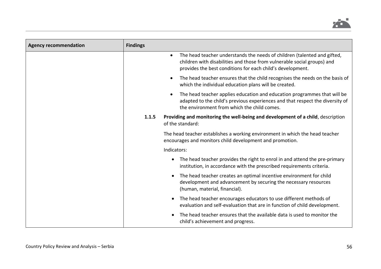

| <b>Agency recommendation</b> | <b>Findings</b> |                                                                                                                                                                                                                                |
|------------------------------|-----------------|--------------------------------------------------------------------------------------------------------------------------------------------------------------------------------------------------------------------------------|
|                              |                 | The head teacher understands the needs of children (talented and gifted,<br>$\bullet$<br>children with disabilities and those from vulnerable social groups) and<br>provides the best conditions for each child's development. |
|                              |                 | The head teacher ensures that the child recognises the needs on the basis of<br>which the individual education plans will be created.                                                                                          |
|                              |                 | The head teacher applies education and education programmes that will be<br>adapted to the child's previous experiences and that respect the diversity of<br>the environment from which the child comes.                       |
|                              | 1.1.5           | Providing and monitoring the well-being and development of a child, description<br>of the standard:                                                                                                                            |
|                              |                 | The head teacher establishes a working environment in which the head teacher<br>encourages and monitors child development and promotion.                                                                                       |
|                              |                 | Indicators:                                                                                                                                                                                                                    |
|                              |                 | The head teacher provides the right to enrol in and attend the pre-primary<br>institution, in accordance with the prescribed requirements criteria.                                                                            |
|                              |                 | The head teacher creates an optimal incentive environment for child<br>$\bullet$<br>development and advancement by securing the necessary resources<br>(human, material, financial).                                           |
|                              |                 | The head teacher encourages educators to use different methods of<br>evaluation and self-evaluation that are in function of child development.                                                                                 |
|                              |                 | The head teacher ensures that the available data is used to monitor the<br>child's achievement and progress.                                                                                                                   |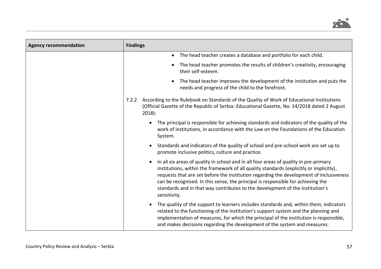

| <b>Agency recommendation</b> | <b>Findings</b>                                                                                                                                                                                                                                                                                                                                                                                                                                                               |
|------------------------------|-------------------------------------------------------------------------------------------------------------------------------------------------------------------------------------------------------------------------------------------------------------------------------------------------------------------------------------------------------------------------------------------------------------------------------------------------------------------------------|
|                              | The head teacher creates a database and portfolio for each child.<br>$\bullet$                                                                                                                                                                                                                                                                                                                                                                                                |
|                              | The head teacher promotes the results of children's creativity, encouraging<br>$\bullet$<br>their self-esteem.                                                                                                                                                                                                                                                                                                                                                                |
|                              | The head teacher improves the development of the institution and puts the<br>$\bullet$<br>needs and progress of the child to the forefront.                                                                                                                                                                                                                                                                                                                                   |
|                              | According to the Rulebook on Standards of the Quality of Work of Educational Institutions<br>7.2.2<br>(Official Gazette of the Republic of Serbia: Educational Gazette, No. 14/2018 dated 2 August<br>$2018$ :                                                                                                                                                                                                                                                                |
|                              | The principal is responsible for achieving standards and indicators of the quality of the<br>$\bullet$<br>work of institutions, in accordance with the Law on the Foundations of the Education<br>System.                                                                                                                                                                                                                                                                     |
|                              | Standards and indicators of the quality of school and pre-school work are set up to<br>promote inclusive politics, culture and practice.                                                                                                                                                                                                                                                                                                                                      |
|                              | In all six areas of quality in school and in all four areas of quality in pre-primary<br>$\bullet$<br>institutions, within the framework of all quality standards (explicitly or implicitly),<br>requests that are set before the institution regarding the development of inclusiveness<br>can be recognised. In this sense, the principal is responsible for achieving the<br>standards and in that way contributes to the development of the institution's<br>sensitivity. |
|                              | The quality of the support to learners includes standards and, within them, indicators<br>$\bullet$<br>related to the functioning of the institution's support system and the planning and<br>implementation of measures, for which the principal of the institution is responsible,<br>and makes decisions regarding the development of the system and measures.                                                                                                             |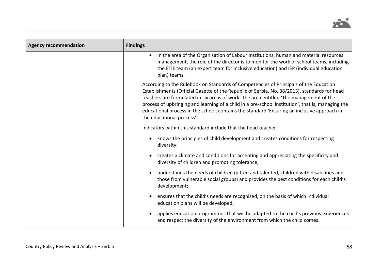

| <b>Agency recommendation</b> | <b>Findings</b>                                                                                                                                                                                                                                                                                                                                                                                                                                                                                                  |
|------------------------------|------------------------------------------------------------------------------------------------------------------------------------------------------------------------------------------------------------------------------------------------------------------------------------------------------------------------------------------------------------------------------------------------------------------------------------------------------------------------------------------------------------------|
|                              | In the area of the Organisation of Labour Institutions, human and material resources<br>$\bullet$<br>management, the role of the director is to monitor the work of school teams, including<br>the ETIE team (an expert team for inclusive education) and IEP (individual education<br>plan) teams.                                                                                                                                                                                                              |
|                              | According to the Rulebook on Standards of Competencies of Principals of the Education<br>Establishments (Official Gazette of the Republic of Serbia, No. 38/2013), standards for head<br>teachers are formulated in six areas of work. The area entitled 'The management of the<br>process of upbringing and learning of a child in a pre-school institution', that is, managing the<br>educational process in the school, contains the standard 'Ensuring an inclusive approach in<br>the educational process'. |
|                              | Indicators within this standard include that the head teacher:                                                                                                                                                                                                                                                                                                                                                                                                                                                   |
|                              | knows the principles of child development and creates conditions for respecting<br>diversity;                                                                                                                                                                                                                                                                                                                                                                                                                    |
|                              | creates a climate and conditions for accepting and appreciating the specificity and<br>$\bullet$<br>diversity of children and promoting tolerance;                                                                                                                                                                                                                                                                                                                                                               |
|                              | understands the needs of children (gifted and talented, children with disabilities and<br>$\bullet$<br>those from vulnerable social groups) and provides the best conditions for each child's<br>development;                                                                                                                                                                                                                                                                                                    |
|                              | ensures that the child's needs are recognised, on the basis of which individual<br>education plans will be developed;                                                                                                                                                                                                                                                                                                                                                                                            |
|                              | applies education programmes that will be adapted to the child's previous experiences<br>$\bullet$<br>and respect the diversity of the environment from which the child comes.                                                                                                                                                                                                                                                                                                                                   |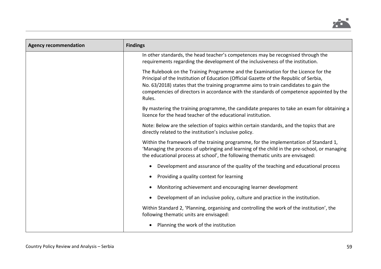

| <b>Agency recommendation</b> | <b>Findings</b>                                                                                                                                                                                                                                                                                                                                                             |
|------------------------------|-----------------------------------------------------------------------------------------------------------------------------------------------------------------------------------------------------------------------------------------------------------------------------------------------------------------------------------------------------------------------------|
|                              | In other standards, the head teacher's competences may be recognised through the<br>requirements regarding the development of the inclusiveness of the institution.                                                                                                                                                                                                         |
|                              | The Rulebook on the Training Programme and the Examination for the Licence for the<br>Principal of the Institution of Education (Official Gazette of the Republic of Serbia,<br>No. 63/2018) states that the training programme aims to train candidates to gain the<br>competencies of directors in accordance with the standards of competence appointed by the<br>Rules. |
|                              | By mastering the training programme, the candidate prepares to take an exam for obtaining a<br>licence for the head teacher of the educational institution.                                                                                                                                                                                                                 |
|                              | Note: Below are the selection of topics within certain standards, and the topics that are<br>directly related to the institution's inclusive policy.                                                                                                                                                                                                                        |
|                              | Within the framework of the training programme, for the implementation of Standard 1,<br>'Managing the process of upbringing and learning of the child in the pre-school, or managing<br>the educational process at school', the following thematic units are envisaged:                                                                                                    |
|                              | Development and assurance of the quality of the teaching and educational process                                                                                                                                                                                                                                                                                            |
|                              | Providing a quality context for learning                                                                                                                                                                                                                                                                                                                                    |
|                              | Monitoring achievement and encouraging learner development                                                                                                                                                                                                                                                                                                                  |
|                              | Development of an inclusive policy, culture and practice in the institution.                                                                                                                                                                                                                                                                                                |
|                              | Within Standard 2, 'Planning, organising and controlling the work of the institution', the<br>following thematic units are envisaged:                                                                                                                                                                                                                                       |
|                              | Planning the work of the institution                                                                                                                                                                                                                                                                                                                                        |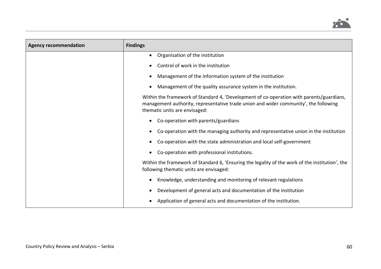

| <b>Agency recommendation</b> | <b>Findings</b>                                                                                                                                                                                                   |
|------------------------------|-------------------------------------------------------------------------------------------------------------------------------------------------------------------------------------------------------------------|
|                              | Organisation of the institution<br>$\bullet$                                                                                                                                                                      |
|                              | Control of work in the institution                                                                                                                                                                                |
|                              | Management of the information system of the institution                                                                                                                                                           |
|                              | Management of the quality assurance system in the institution.                                                                                                                                                    |
|                              | Within the framework of Standard 4, 'Development of co-operation with parents/guardians,<br>management authority, representative trade union and wider community', the following<br>thematic units are envisaged: |
|                              | Co-operation with parents/guardians                                                                                                                                                                               |
|                              | Co-operation with the managing authority and representative union in the institution                                                                                                                              |
|                              | Co-operation with the state administration and local self-government                                                                                                                                              |
|                              | Co-operation with professional institutions.                                                                                                                                                                      |
|                              | Within the framework of Standard 6, 'Ensuring the legality of the work of the institution', the<br>following thematic units are envisaged:                                                                        |
|                              | Knowledge, understanding and monitoring of relevant regulations                                                                                                                                                   |
|                              | Development of general acts and documentation of the institution                                                                                                                                                  |
|                              | Application of general acts and documentation of the institution.                                                                                                                                                 |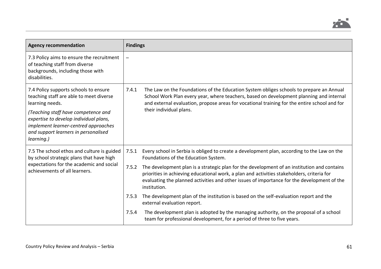

| <b>Agency recommendation</b>                                                                                                                                                | <b>Findings</b>          |                                                                                                                                                                                                                                                                                                               |
|-----------------------------------------------------------------------------------------------------------------------------------------------------------------------------|--------------------------|---------------------------------------------------------------------------------------------------------------------------------------------------------------------------------------------------------------------------------------------------------------------------------------------------------------|
| 7.3 Policy aims to ensure the recruitment<br>of teaching staff from diverse<br>backgrounds, including those with<br>disabilities.                                           | $\overline{\phantom{m}}$ |                                                                                                                                                                                                                                                                                                               |
| 7.4 Policy supports schools to ensure<br>teaching staff are able to meet diverse<br>learning needs.                                                                         | 7.4.1                    | The Law on the Foundations of the Education System obliges schools to prepare an Annual<br>School Work Plan every year, where teachers, based on development planning and internal<br>and external evaluation, propose areas for vocational training for the entire school and for<br>their individual plans. |
| (Teaching staff have competence and<br>expertise to develop individual plans,<br>implement learner-centred approaches<br>and support learners in personalised<br>learning.) |                          |                                                                                                                                                                                                                                                                                                               |
| 7.5 The school ethos and culture is guided<br>by school strategic plans that have high<br>expectations for the academic and social<br>achievements of all learners.         | 7.5.1                    | Every school in Serbia is obliged to create a development plan, according to the Law on the<br>Foundations of the Education System.                                                                                                                                                                           |
|                                                                                                                                                                             | 7.5.2                    | The development plan is a strategic plan for the development of an institution and contains<br>priorities in achieving educational work, a plan and activities stakeholders, criteria for<br>evaluating the planned activities and other issues of importance for the development of the<br>institution.      |
|                                                                                                                                                                             | 7.5.3                    | The development plan of the institution is based on the self-evaluation report and the<br>external evaluation report.                                                                                                                                                                                         |
|                                                                                                                                                                             | 7.5.4                    | The development plan is adopted by the managing authority, on the proposal of a school<br>team for professional development, for a period of three to five years.                                                                                                                                             |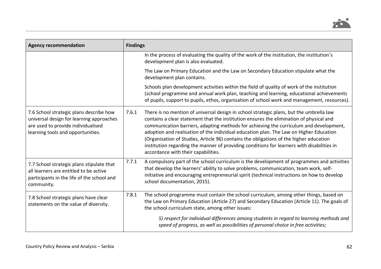

| <b>Agency recommendation</b>                                                                                                                                   | <b>Findings</b>                                                                                                                                                                                                                                                                                                                                                                                                                                                                                                                                                                                                |
|----------------------------------------------------------------------------------------------------------------------------------------------------------------|----------------------------------------------------------------------------------------------------------------------------------------------------------------------------------------------------------------------------------------------------------------------------------------------------------------------------------------------------------------------------------------------------------------------------------------------------------------------------------------------------------------------------------------------------------------------------------------------------------------|
|                                                                                                                                                                | In the process of evaluating the quality of the work of the institution, the institution's<br>development plan is also evaluated.                                                                                                                                                                                                                                                                                                                                                                                                                                                                              |
|                                                                                                                                                                | The Law on Primary Education and the Law on Secondary Education stipulate what the<br>development plan contains.                                                                                                                                                                                                                                                                                                                                                                                                                                                                                               |
|                                                                                                                                                                | Schools plan development activities within the field of quality of work of the institution<br>(school programme and annual work plan, teaching and learning, educational achievements<br>of pupils, support to pupils, ethos, organisation of school work and management, resources).                                                                                                                                                                                                                                                                                                                          |
| 7.6 School strategic plans describe how<br>universal design for learning approaches<br>are used to provide individualised<br>learning tools and opportunities. | 7.6.1<br>There is no mention of universal design in school strategic plans, but the umbrella law<br>contains a clear statement that the institution ensures the elimination of physical and<br>communication barriers, adapting methods for achieving the curriculum and development,<br>adoption and realisation of the individual education plan. The Law on Higher Education<br>(Organisation of Studies, Article 96) contains the obligations of the higher education<br>institution regarding the manner of providing conditions for learners with disabilities in<br>accordance with their capabilities. |
| 7.7 School strategic plans stipulate that<br>all learners are entitled to be active<br>participants in the life of the school and<br>community.                | A compulsory part of the school curriculum is the development of programmes and activities<br>7.7.1<br>that develop the learners' ability to solve problems, communication, team work, self-<br>initiative and encouraging entrepreneurial spirit (technical instructions on how to develop<br>school documentation, 2015).                                                                                                                                                                                                                                                                                    |
| 7.8 School strategic plans have clear<br>statements on the value of diversity.                                                                                 | The school programme must contain the school curriculum, among other things, based on<br>7.8.1<br>the Law on Primary Education (Article 27) and Secondary Education (Article 11). The goals of<br>the school curriculum state, among other issues:                                                                                                                                                                                                                                                                                                                                                             |
|                                                                                                                                                                | 5) respect for individual differences among students in regard to learning methods and<br>speed of progress, as well as possibilities of personal choice in free activities;                                                                                                                                                                                                                                                                                                                                                                                                                                   |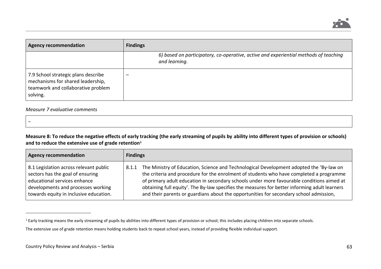

| <b>Agency recommendation</b>                                                                                               | <b>Findings</b>                                                                                       |
|----------------------------------------------------------------------------------------------------------------------------|-------------------------------------------------------------------------------------------------------|
|                                                                                                                            | 6) based on participatory, co-operative, active and experiential methods of teaching<br>and learning. |
| 7.9 School strategic plans describe<br>mechanisms for shared leadership,<br>teamwork and collaborative problem<br>solving. |                                                                                                       |

#### *Measure 7 evaluative comments*

–

 $\overline{a}$ 

**Measure 8: To reduce the negative effects of early tracking (the early streaming of pupils by ability into different types of provision or schools) and to reduce the extensive use of grade retention<sup>1</sup>**

| <b>Agency recommendation</b>                                                                                                                                                               | <b>Findings</b> |                                                                                                                                                                                                                                                                                                                                                                                                                                                                            |
|--------------------------------------------------------------------------------------------------------------------------------------------------------------------------------------------|-----------------|----------------------------------------------------------------------------------------------------------------------------------------------------------------------------------------------------------------------------------------------------------------------------------------------------------------------------------------------------------------------------------------------------------------------------------------------------------------------------|
| 8.1 Legislation across relevant public<br>sectors has the goal of ensuring<br>educational services enhance<br>developments and processes working<br>towards equity in inclusive education. | 8.1.1           | The Ministry of Education, Science and Technological Development adopted the 'By-law on<br>the criteria and procedure for the enrolment of students who have completed a programme<br>of primary adult education in secondary schools under more favourable conditions aimed at<br>obtaining full equity'. The By-law specifies the measures for better informing adult learners<br>and their parents or guardians about the opportunities for secondary school admission, |

<sup>&</sup>lt;sup>1</sup> Early tracking means the early streaming of pupils by abilities into different types of provision or school; this includes placing children into separate schools.

The extensive use of grade retention means holding students back to repeat school years, instead of providing flexible individual support.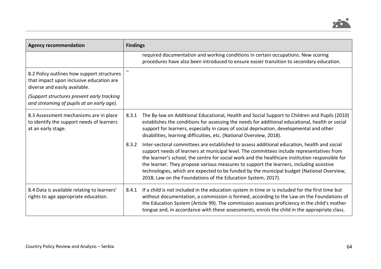

| <b>Agency recommendation</b>                                                                                            | <b>Findings</b>                                                                                                                                                                                                                                                                                                                                                                                                                                                                                                                                              |
|-------------------------------------------------------------------------------------------------------------------------|--------------------------------------------------------------------------------------------------------------------------------------------------------------------------------------------------------------------------------------------------------------------------------------------------------------------------------------------------------------------------------------------------------------------------------------------------------------------------------------------------------------------------------------------------------------|
|                                                                                                                         | required documentation and working conditions in certain occupations. New scoring<br>procedures have also been introduced to ensure easier transition to secondary education.                                                                                                                                                                                                                                                                                                                                                                                |
| 8.2 Policy outlines how support structures<br>that impact upon inclusive education are<br>diverse and easily available. |                                                                                                                                                                                                                                                                                                                                                                                                                                                                                                                                                              |
| (Support structures prevent early tracking<br>and streaming of pupils at an early age).                                 |                                                                                                                                                                                                                                                                                                                                                                                                                                                                                                                                                              |
| 8.3 Assessment mechanisms are in place<br>to identify the support needs of learners<br>at an early stage.               | The By-law on Additional Educational, Health and Social Support to Children and Pupils (2010)<br>8.3.1<br>establishes the conditions for assessing the needs for additional educational, health or social<br>support for learners, especially in cases of social deprivation, developmental and other<br>disabilities, learning difficulties, etc. (National Overview, 2018).                                                                                                                                                                                |
|                                                                                                                         | 8.3.2<br>Inter-sectoral committees are established to assess additional education, health and social<br>support needs of learners at municipal level. The committees include representatives from<br>the learner's school, the centre for social work and the healthcare institution responsible for<br>the learner. They propose various measures to support the learners, including assistive<br>technologies, which are expected to be funded by the municipal budget (National Overview,<br>2018; Law on the Foundations of the Education System, 2017). |
| 8.4 Data is available relating to learners'<br>rights to age appropriate education.                                     | If a child is not included in the education system in time or is included for the first time but<br>8.4.1<br>without documentation, a commission is formed, according to the Law on the Foundations of<br>the Education System (Article 99). The commission assesses proficiency in the child's mother<br>tongue and, in accordance with these assessments, enrols the child in the appropriate class.                                                                                                                                                       |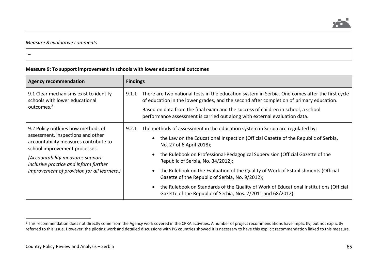

### *Measure 8 evaluative comments*

–

 $\overline{a}$ 

#### **Measure 9: To support improvement in schools with lower educational outcomes**

| <b>Agency recommendation</b>                                                                                                                                                                                                                                                  | <b>Findings</b>                                                                                                                                                                                                                                                                                                                                                                                                                                                                                                                                                                                                                    |
|-------------------------------------------------------------------------------------------------------------------------------------------------------------------------------------------------------------------------------------------------------------------------------|------------------------------------------------------------------------------------------------------------------------------------------------------------------------------------------------------------------------------------------------------------------------------------------------------------------------------------------------------------------------------------------------------------------------------------------------------------------------------------------------------------------------------------------------------------------------------------------------------------------------------------|
| 9.1 Clear mechanisms exist to identify<br>schools with lower educational<br>outcomes. <sup>2</sup>                                                                                                                                                                            | 9.1.1<br>There are two national tests in the education system in Serbia. One comes after the first cycle<br>of education in the lower grades, and the second after completion of primary education.<br>Based on data from the final exam and the success of children in school, a school<br>performance assessment is carried out along with external evaluation data.                                                                                                                                                                                                                                                             |
| 9.2 Policy outlines how methods of<br>assessment, inspections and other<br>accountability measures contribute to<br>school improvement processes.<br>(Accountability measures support<br>inclusive practice and inform further<br>improvement of provision for all learners.) | The methods of assessment in the education system in Serbia are regulated by:<br>9.2.1<br>• the Law on the Educational Inspection (Official Gazette of the Republic of Serbia,<br>No. 27 of 6 April 2018);<br>the Rulebook on Professional-Pedagogical Supervision (Official Gazette of the<br>Republic of Serbia, No. 34/2012);<br>the Rulebook on the Evaluation of the Quality of Work of Establishments (Official<br>Gazette of the Republic of Serbia, No. 9/2012);<br>the Rulebook on Standards of the Quality of Work of Educational Institutions (Official<br>Gazette of the Republic of Serbia, Nos. 7/2011 and 68/2012). |

<sup>&</sup>lt;sup>2</sup> This recommendation does not directly come from the Agency work covered in the CPRA activities. A number of project recommendations have implicitly, but not explicitly referred to this issue. However, the piloting work and detailed discussions with PG countries showed it is necessary to have this explicit recommendation linked to this measure.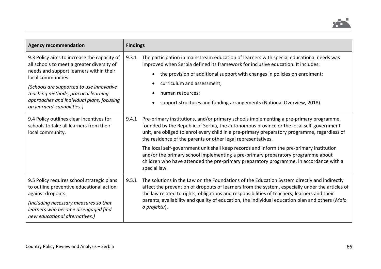

| <b>Agency recommendation</b>                                                                                                                                                                                                                                                                                               | <b>Findings</b>                                                                                                                                                                                                                                                                                                                                                                                                                                                                                                                                                                                                                                      |
|----------------------------------------------------------------------------------------------------------------------------------------------------------------------------------------------------------------------------------------------------------------------------------------------------------------------------|------------------------------------------------------------------------------------------------------------------------------------------------------------------------------------------------------------------------------------------------------------------------------------------------------------------------------------------------------------------------------------------------------------------------------------------------------------------------------------------------------------------------------------------------------------------------------------------------------------------------------------------------------|
| 9.3 Policy aims to increase the capacity of<br>all schools to meet a greater diversity of<br>needs and support learners within their<br>local communities.<br>(Schools are supported to use innovative<br>teaching methods, practical learning<br>approaches and individual plans, focusing<br>on learners' capabilities.) | The participation in mainstream education of learners with special educational needs was<br>9.3.1<br>improved when Serbia defined its framework for inclusive education. It includes:<br>the provision of additional support with changes in policies on enrolment;<br>curriculum and assessment;<br>human resources;<br>support structures and funding arrangements (National Overview, 2018).                                                                                                                                                                                                                                                      |
| 9.4 Policy outlines clear incentives for<br>schools to take all learners from their<br>local community.                                                                                                                                                                                                                    | 9.4.1<br>Pre-primary institutions, and/or primary schools implementing a pre-primary programme,<br>founded by the Republic of Serbia, the autonomous province or the local self-government<br>unit, are obliged to enrol every child in a pre-primary preparatory programme, regardless of<br>the residence of the parents or other legal representatives.<br>The local self-government unit shall keep records and inform the pre-primary institution<br>and/or the primary school implementing a pre-primary preparatory programme about<br>children who have attended the pre-primary preparatory programme, in accordance with a<br>special law. |
| 9.5 Policy requires school strategic plans<br>to outline preventive educational action<br>against dropouts.<br>(Including necessary measures so that<br>learners who become disengaged find<br>new educational alternatives.)                                                                                              | The solutions in the Law on the Foundations of the Education System directly and indirectly<br>9.5.1<br>affect the prevention of dropouts of learners from the system, especially under the articles of<br>the law related to rights, obligations and responsibilities of teachers, learners and their<br>parents, availability and quality of education, the individual education plan and others (Malo<br>o projektu).                                                                                                                                                                                                                             |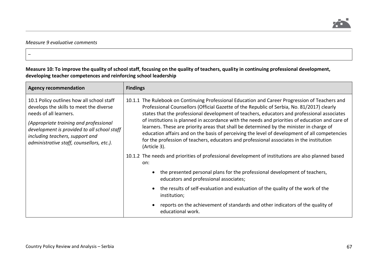

## *Measure 9 evaluative comments*

–

**Measure 10: To improve the quality of school staff, focusing on the quality of teachers, quality in continuing professional development, developing teacher competences and reinforcing school leadership**

| <b>Agency recommendation</b>                                                                                                                                                                                                                                                            | <b>Findings</b>                                                                                                                                                                                                                                                                                                                                                                                                                                                                                                                                                                                                                                                                                          |
|-----------------------------------------------------------------------------------------------------------------------------------------------------------------------------------------------------------------------------------------------------------------------------------------|----------------------------------------------------------------------------------------------------------------------------------------------------------------------------------------------------------------------------------------------------------------------------------------------------------------------------------------------------------------------------------------------------------------------------------------------------------------------------------------------------------------------------------------------------------------------------------------------------------------------------------------------------------------------------------------------------------|
| 10.1 Policy outlines how all school staff<br>develops the skills to meet the diverse<br>needs of all learners.<br>(Appropriate training and professional<br>development is provided to all school staff<br>including teachers, support and<br>administrative staff, counsellors, etc.). | 10.1.1 The Rulebook on Continuing Professional Education and Career Progression of Teachers and<br>Professional Counsellors (Official Gazette of the Republic of Serbia, No. 81/2017) clearly<br>states that the professional development of teachers, educators and professional associates<br>of institutions is planned in accordance with the needs and priorities of education and care of<br>learners. These are priority areas that shall be determined by the minister in charge of<br>education affairs and on the basis of perceiving the level of development of all competencies<br>for the profession of teachers, educators and professional associates in the institution<br>(Article 3). |
|                                                                                                                                                                                                                                                                                         | 10.1.2 The needs and priorities of professional development of institutions are also planned based<br>on:                                                                                                                                                                                                                                                                                                                                                                                                                                                                                                                                                                                                |
|                                                                                                                                                                                                                                                                                         | the presented personal plans for the professional development of teachers,<br>educators and professional associates;                                                                                                                                                                                                                                                                                                                                                                                                                                                                                                                                                                                     |
|                                                                                                                                                                                                                                                                                         | the results of self-evaluation and evaluation of the quality of the work of the<br>institution;                                                                                                                                                                                                                                                                                                                                                                                                                                                                                                                                                                                                          |
|                                                                                                                                                                                                                                                                                         | reports on the achievement of standards and other indicators of the quality of<br>educational work.                                                                                                                                                                                                                                                                                                                                                                                                                                                                                                                                                                                                      |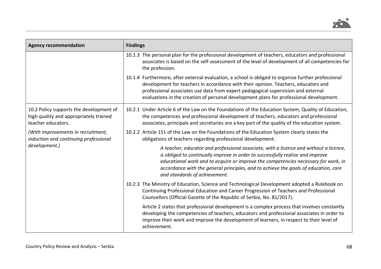

| <b>Agency recommendation</b>                                                                            | <b>Findings</b>                                                                                                                                                                                                                                                                                                                                                                       |
|---------------------------------------------------------------------------------------------------------|---------------------------------------------------------------------------------------------------------------------------------------------------------------------------------------------------------------------------------------------------------------------------------------------------------------------------------------------------------------------------------------|
|                                                                                                         | 10.1.3 The personal plan for the professional development of teachers, educators and professional<br>associates is based on the self-assessment of the level of development of all competencies for<br>the profession.                                                                                                                                                                |
|                                                                                                         | 10.1.4 Furthermore, after external evaluation, a school is obliged to organise further professional<br>development for teachers in accordance with their opinion. Teachers, educators and<br>professional associates use data from expert pedagogical supervision and external<br>evaluations in the creation of personal development plans for professional development.             |
| 10.2 Policy supports the development of<br>high quality and appropriately trained<br>teacher educators. | 10.2.1 Under Article 6 of the Law on the Foundations of the Education System, Quality of Education,<br>the competences and professional development of teachers, educators and professional<br>associates, principals and secretaries are a key part of the quality of the education system.                                                                                          |
| (With improvements in recruitment,<br>induction and continuing professional<br>development.)            | 10.2.2 Article 151 of the Law on the Foundations of the Education System clearly states the<br>obligations of teachers regarding professional development:                                                                                                                                                                                                                            |
|                                                                                                         | A teacher, educator and professional associate, with a licence and without a licence,<br>is obliged to continually improve in order to successfully realise and improve<br>educational work and to acquire or improve the competencies necessary for work, in<br>accordance with the general principles, and to achieve the goals of education, care<br>and standards of achievement. |
|                                                                                                         | 10.2.3 The Ministry of Education, Science and Technological Development adopted a Rulebook on<br>Continuing Professional Education and Career Progression of Teachers and Professional<br>Counsellors (Official Gazette of the Republic of Serbia, No. 81/2017).                                                                                                                      |
|                                                                                                         | Article 2 states that professional development is a complex process that involves constantly<br>developing the competencies of teachers, educators and professional associates in order to<br>improve their work and improve the development of learners, in respect to their level of<br>achievement.                                                                                |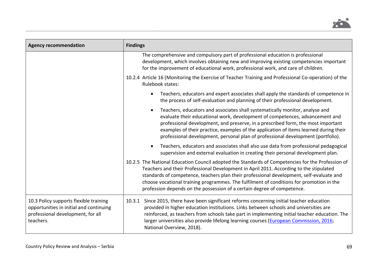

| <b>Agency recommendation</b>                                                                                                        | <b>Findings</b>                                                                                                                                                                                                                                                                                                                                                                                                                                                |
|-------------------------------------------------------------------------------------------------------------------------------------|----------------------------------------------------------------------------------------------------------------------------------------------------------------------------------------------------------------------------------------------------------------------------------------------------------------------------------------------------------------------------------------------------------------------------------------------------------------|
|                                                                                                                                     | The comprehensive and compulsory part of professional education is professional<br>development, which involves obtaining new and improving existing competencies important<br>for the improvement of educational work, professional work, and care of children.                                                                                                                                                                                                |
|                                                                                                                                     | 10.2.4 Article 16 (Monitoring the Exercise of Teacher Training and Professional Co-operation) of the<br>Rulebook states:                                                                                                                                                                                                                                                                                                                                       |
|                                                                                                                                     | Teachers, educators and expert associates shall apply the standards of competence in<br>the process of self-evaluation and planning of their professional development.                                                                                                                                                                                                                                                                                         |
|                                                                                                                                     | Teachers, educators and associates shall systematically monitor, analyse and<br>evaluate their educational work, development of competences, advancement and<br>professional development, and preserve, in a prescribed form, the most important<br>examples of their practice, examples of the application of items learned during their<br>professional development, personal plan of professional development (portfolio).                                  |
|                                                                                                                                     | Teachers, educators and associates shall also use data from professional pedagogical<br>supervision and external evaluation in creating their personal development plan.                                                                                                                                                                                                                                                                                       |
|                                                                                                                                     | 10.2.5 The National Education Council adopted the Standards of Competencies for the Profession of<br>Teachers and their Professional Development in April 2011. According to the stipulated<br>standards of competence, teachers plan their professional development, self-evaluate and<br>choose vocational training programmes. The fulfilment of conditions for promotion in the<br>profession depends on the possession of a certain degree of competence. |
| 10.3 Policy supports flexible training<br>opportunities in initial and continuing<br>professional development, for all<br>teachers. | Since 2015, there have been significant reforms concerning initial teacher education<br>10.3.1<br>provided in higher education institutions. Links between schools and universities are<br>reinforced, as teachers from schools take part in implementing initial teacher education. The<br>larger universities also provide lifelong learning courses (European Commission, 2016;<br>National Overview, 2018).                                                |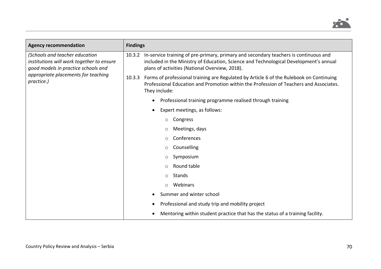

| <b>Agency recommendation</b>                                                                                                                                            | <b>Findings</b>                                                                                                                                                                                                                        |
|-------------------------------------------------------------------------------------------------------------------------------------------------------------------------|----------------------------------------------------------------------------------------------------------------------------------------------------------------------------------------------------------------------------------------|
| (Schools and teacher education<br>institutions will work together to ensure<br>good models in practice schools and<br>appropriate placements for teaching<br>practice.) | 10.3.2 In-service training of pre-primary, primary and secondary teachers is continuous and<br>included in the Ministry of Education, Science and Technological Development's annual<br>plans of activities (National Overview, 2018). |
|                                                                                                                                                                         | Forms of professional training are Regulated by Article 6 of the Rulebook on Continuing<br>10.3.3<br>Professional Education and Promotion within the Profession of Teachers and Associates.<br>They include:                           |
|                                                                                                                                                                         | Professional training programme realised through training<br>$\bullet$                                                                                                                                                                 |
|                                                                                                                                                                         | Expert meetings, as follows:<br>$\bullet$                                                                                                                                                                                              |
|                                                                                                                                                                         | Congress<br>O                                                                                                                                                                                                                          |
|                                                                                                                                                                         | Meetings, days<br>O                                                                                                                                                                                                                    |
|                                                                                                                                                                         | Conferences<br>O                                                                                                                                                                                                                       |
|                                                                                                                                                                         | Counselling<br>O                                                                                                                                                                                                                       |
|                                                                                                                                                                         | Symposium<br>O                                                                                                                                                                                                                         |
|                                                                                                                                                                         | Round table<br>$\circ$                                                                                                                                                                                                                 |
|                                                                                                                                                                         | Stands<br>$\circ$                                                                                                                                                                                                                      |
|                                                                                                                                                                         | Webinars<br>$\circ$                                                                                                                                                                                                                    |
|                                                                                                                                                                         | Summer and winter school<br>$\bullet$                                                                                                                                                                                                  |
|                                                                                                                                                                         | Professional and study trip and mobility project<br>$\bullet$                                                                                                                                                                          |
|                                                                                                                                                                         | Mentoring within student practice that has the status of a training facility.<br>$\bullet$                                                                                                                                             |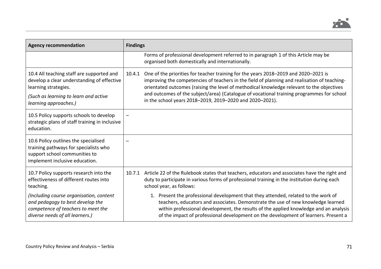

| <b>Agency recommendation</b>                                                                                                                         | <b>Findings</b>                                                                                                                                                                                                                                                                                                                                                                                                                           |
|------------------------------------------------------------------------------------------------------------------------------------------------------|-------------------------------------------------------------------------------------------------------------------------------------------------------------------------------------------------------------------------------------------------------------------------------------------------------------------------------------------------------------------------------------------------------------------------------------------|
|                                                                                                                                                      | Forms of professional development referred to in paragraph 1 of this Article may be<br>organised both domestically and internationally.                                                                                                                                                                                                                                                                                                   |
| 10.4 All teaching staff are supported and<br>develop a clear understanding of effective<br>learning strategies.                                      | One of the priorities for teacher training for the years 2018-2019 and 2020-2021 is<br>improving the competencies of teachers in the field of planning and realisation of teaching-<br>orientated outcomes (raising the level of methodical knowledge relevant to the objectives<br>and outcomes of the subject/area) (Catalogue of vocational training programmes for school<br>in the school years 2018-2019, 2019-2020 and 2020-2021). |
| (Such as learning to learn and active<br>learning approaches.)                                                                                       |                                                                                                                                                                                                                                                                                                                                                                                                                                           |
| 10.5 Policy supports schools to develop<br>strategic plans of staff training in inclusive<br>education.                                              |                                                                                                                                                                                                                                                                                                                                                                                                                                           |
| 10.6 Policy outlines the specialised<br>training pathways for specialists who<br>support school communities to<br>implement inclusive education.     |                                                                                                                                                                                                                                                                                                                                                                                                                                           |
| 10.7 Policy supports research into the<br>effectiveness of different routes into<br>teaching.                                                        | Article 22 of the Rulebook states that teachers, educators and associates have the right and<br>10.7.1<br>duty to participate in various forms of professional training in the institution during each<br>school year, as follows:                                                                                                                                                                                                        |
| (Including course organisation, content<br>and pedagogy to best develop the<br>competence of teachers to meet the<br>diverse needs of all learners.) | 1. Present the professional development that they attended, related to the work of<br>teachers, educators and associates. Demonstrate the use of new knowledge learned<br>within professional development, the results of the applied knowledge and an analysis<br>of the impact of professional development on the development of learners. Present a                                                                                    |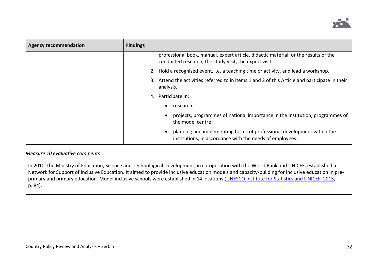

| <b>Agency recommendation</b> | <b>Findings</b>                                                                                                                               |
|------------------------------|-----------------------------------------------------------------------------------------------------------------------------------------------|
|                              | professional book, manual, expert article, didactic material, or the results of the<br>conducted research, the study visit, the expert visit. |
|                              | 2. Hold a recognised event, i.e. a teaching time or activity, and lead a workshop.                                                            |
|                              | 3. Attend the activities referred to in items 1 and 2 of this Article and participate in their<br>analysis.                                   |
|                              | 4. Participate in:                                                                                                                            |
|                              | research;                                                                                                                                     |
|                              | projects, programmes of national importance in the institution, programmes of<br>the model centre;                                            |
|                              | planning and implementing forms of professional development within the<br>institutions, in accordance with the needs of employees.            |

### *Measure 10 evaluative comments*

In 2010, the Ministry of Education, Science and Technological Development, in co-operation with the World Bank and UNICEF, established a Network for Support of Inclusive Education. It aimed to provide inclusive education models and capacity-building for inclusive education in pre-primary and primary education. Model inclusive schools were established in 14 locations [\(UNESCO Institute for Statistics and UNICEF, 2015,](http://uis.unesco.org/sites/default/files/documents/fixing-broken-promise-efa-findings-global-initiative-oosc-education-2015-en.pdf#page=85) p. 84).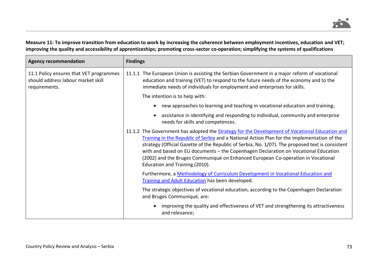

## **Measure 11: To improve transition from education to work by increasing the coherence between employment incentives, education and VET; improving the quality and accessibility of apprenticeships; promoting cross-sector co-operation; simplifying the systems of qualifications**

| <b>Agency recommendation</b>                                                                   | <b>Findings</b>                                                                                                                                                                                                                                                                                                                                                                                                                                                                                                |  |  |
|------------------------------------------------------------------------------------------------|----------------------------------------------------------------------------------------------------------------------------------------------------------------------------------------------------------------------------------------------------------------------------------------------------------------------------------------------------------------------------------------------------------------------------------------------------------------------------------------------------------------|--|--|
| 11.1 Policy ensures that VET programmes<br>should address labour market skill<br>requirements. | The European Union is assisting the Serbian Government in a major reform of vocational<br>11.1.1<br>education and training (VET) to respond to the future needs of the economy and to the<br>immediate needs of individuals for employment and enterprises for skills.                                                                                                                                                                                                                                         |  |  |
|                                                                                                | The intention is to help with:                                                                                                                                                                                                                                                                                                                                                                                                                                                                                 |  |  |
|                                                                                                | new approaches to learning and teaching in vocational education and training;<br>$\bullet$                                                                                                                                                                                                                                                                                                                                                                                                                     |  |  |
|                                                                                                | assistance in identifying and responding to individual, community and enterprise<br>needs for skills and competences.                                                                                                                                                                                                                                                                                                                                                                                          |  |  |
|                                                                                                | 11.1.2 The Government has adopted the Strategy for the Development of Vocational Education and<br>Training in the Republic of Serbia and a National Action Plan for the implementation of the<br>strategy (Official Gazette of the Republic of Serbia, No. 1/07). The proposed text is consistent<br>with and based on EU documents - the Copenhagen Declaration on Vocational Education<br>(2002) and the Bruges Communiqué on Enhanced European Co-operation in Vocational<br>Education and Training (2010). |  |  |
|                                                                                                | Furthermore, a Methodology of Curriculum Development in Vocational Education and<br>Training and Adult Education has been developed.                                                                                                                                                                                                                                                                                                                                                                           |  |  |
|                                                                                                | The strategic objectives of vocational education, according to the Copenhagen Declaration<br>and Bruges Communiqué, are:                                                                                                                                                                                                                                                                                                                                                                                       |  |  |
|                                                                                                | improving the quality and effectiveness of VET and strengthening its attractiveness<br>and relevance;                                                                                                                                                                                                                                                                                                                                                                                                          |  |  |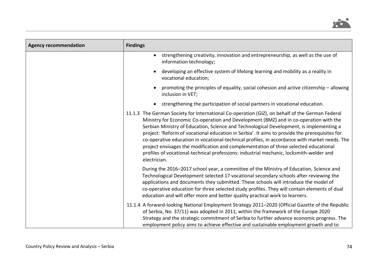

| <b>Agency recommendation</b> | <b>Findings</b>                                                                                                                                                                                                                                                                                                                                                                                                                                                                                                                                                                                                                                                                          |
|------------------------------|------------------------------------------------------------------------------------------------------------------------------------------------------------------------------------------------------------------------------------------------------------------------------------------------------------------------------------------------------------------------------------------------------------------------------------------------------------------------------------------------------------------------------------------------------------------------------------------------------------------------------------------------------------------------------------------|
|                              | strengthening creativity, innovation and entrepreneurship, as well as the use of<br>$\bullet$<br>information technology;                                                                                                                                                                                                                                                                                                                                                                                                                                                                                                                                                                 |
|                              | developing an effective system of lifelong learning and mobility as a reality in<br>$\bullet$<br>vocational education;                                                                                                                                                                                                                                                                                                                                                                                                                                                                                                                                                                   |
|                              | promoting the principles of equality, social cohesion and active citizenship - allowing<br>inclusion in VET;                                                                                                                                                                                                                                                                                                                                                                                                                                                                                                                                                                             |
|                              | strengthening the participation of social partners in vocational education.<br>$\bullet$                                                                                                                                                                                                                                                                                                                                                                                                                                                                                                                                                                                                 |
|                              | 11.1.3 The German Society for International Co-operation (GIZ), on behalf of the German Federal<br>Ministry for Economic Co-operation and Development (BMZ) and in co-operation with the<br>Serbian Ministry of Education, Science and Technological Development, is implementing a<br>project: 'Reform of vocational education in Serbia'. It aims to provide the prerequisites for<br>co-operative education in vocational-technical profiles, in accordance with market needs. The<br>project envisages the modification and complementation of three selected educational<br>profiles of vocational-technical professions: industrial mechanic, locksmith-welder and<br>electrician. |
|                              | During the 2016-2017 school year, a committee of the Ministry of Education, Science and<br>Technological Development selected 17 vocational secondary schools after reviewing the<br>applications and documents they submitted. These schools will introduce the model of<br>co-operative education for three selected study profiles. They will contain elements of dual<br>education and will offer more and better quality practical work to learners.                                                                                                                                                                                                                                |
|                              | 11.1.4 A forward-looking National Employment Strategy 2011-2020 (Official Gazette of the Republic<br>of Serbia, No. 37/11) was adopted in 2011, within the framework of the Europe 2020<br>Strategy and the strategic commitment of Serbia to further advance economic progress. The<br>employment policy aims to achieve effective and sustainable employment growth and to                                                                                                                                                                                                                                                                                                             |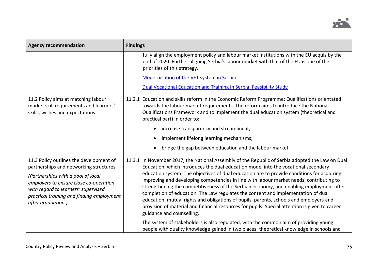

| <b>Agency recommendation</b>                                                                                                                                                                                                                                                 | <b>Findings</b>                                                                                                                                                                                                                                                                                                                                                                                                                                                                                                                                                                                                                                                                                                                                                                           |
|------------------------------------------------------------------------------------------------------------------------------------------------------------------------------------------------------------------------------------------------------------------------------|-------------------------------------------------------------------------------------------------------------------------------------------------------------------------------------------------------------------------------------------------------------------------------------------------------------------------------------------------------------------------------------------------------------------------------------------------------------------------------------------------------------------------------------------------------------------------------------------------------------------------------------------------------------------------------------------------------------------------------------------------------------------------------------------|
|                                                                                                                                                                                                                                                                              | fully align the employment policy and labour market institutions with the EU acquis by the<br>end of 2020. Further aligning Serbia's labour market with that of the EU is one of the<br>priorities of this strategy.                                                                                                                                                                                                                                                                                                                                                                                                                                                                                                                                                                      |
|                                                                                                                                                                                                                                                                              | Modernisation of the VET system in Serbia                                                                                                                                                                                                                                                                                                                                                                                                                                                                                                                                                                                                                                                                                                                                                 |
|                                                                                                                                                                                                                                                                              | Dual Vocational Education and Training in Serbia: Feasibility Study                                                                                                                                                                                                                                                                                                                                                                                                                                                                                                                                                                                                                                                                                                                       |
| 11.2 Policy aims at matching labour<br>market skill requirements and learners'<br>skills, wishes and expectations.                                                                                                                                                           | 11.2.1 Education and skills reform in the Economic Reform Programme: Qualifications orientated<br>towards the labour market requirements. The reform aims to introduce the National<br>Qualifications Framework and to implement the dual education system (theoretical and<br>practical part) in order to:                                                                                                                                                                                                                                                                                                                                                                                                                                                                               |
|                                                                                                                                                                                                                                                                              | increase transparency and streamline it;<br>$\bullet$                                                                                                                                                                                                                                                                                                                                                                                                                                                                                                                                                                                                                                                                                                                                     |
|                                                                                                                                                                                                                                                                              | implement lifelong learning mechanisms;<br>$\bullet$                                                                                                                                                                                                                                                                                                                                                                                                                                                                                                                                                                                                                                                                                                                                      |
|                                                                                                                                                                                                                                                                              | bridge the gap between education and the labour market.<br>$\bullet$                                                                                                                                                                                                                                                                                                                                                                                                                                                                                                                                                                                                                                                                                                                      |
| 11.3 Policy outlines the development of<br>partnerships and networking structures.<br>(Partnerships with a pool of local<br>employers to ensure close co-operation<br>with regard to learners' supervised<br>practical training and finding employment<br>after graduation.) | 11.3.1 In November 2017, the National Assembly of the Republic of Serbia adopted the Law on Dual<br>Education, which introduces the dual education model into the vocational secondary<br>education system. The objectives of dual education are to provide conditions for acquiring,<br>improving and developing competencies in line with labour market needs, contributing to<br>strengthening the competitiveness of the Serbian economy, and enabling employment after<br>completion of education. The Law regulates the content and implementation of dual<br>education, mutual rights and obligations of pupils, parents, schools and employers and<br>provision of material and financial resources for pupils. Special attention is given to career<br>guidance and counselling. |
|                                                                                                                                                                                                                                                                              | The system of stakeholders is also regulated, with the common aim of providing young<br>people with quality knowledge gained in two places: theoretical knowledge in schools and                                                                                                                                                                                                                                                                                                                                                                                                                                                                                                                                                                                                          |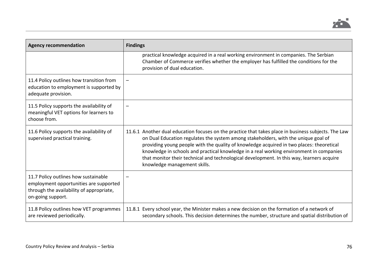

| <b>Agency recommendation</b>                                                                                                                    | <b>Findings</b>                                                                                                                                                                                                                                                                                                                                                                                                                                                                                                |
|-------------------------------------------------------------------------------------------------------------------------------------------------|----------------------------------------------------------------------------------------------------------------------------------------------------------------------------------------------------------------------------------------------------------------------------------------------------------------------------------------------------------------------------------------------------------------------------------------------------------------------------------------------------------------|
|                                                                                                                                                 | practical knowledge acquired in a real working environment in companies. The Serbian<br>Chamber of Commerce verifies whether the employer has fulfilled the conditions for the<br>provision of dual education.                                                                                                                                                                                                                                                                                                 |
| 11.4 Policy outlines how transition from<br>education to employment is supported by<br>adequate provision.                                      |                                                                                                                                                                                                                                                                                                                                                                                                                                                                                                                |
| 11.5 Policy supports the availability of<br>meaningful VET options for learners to<br>choose from.                                              |                                                                                                                                                                                                                                                                                                                                                                                                                                                                                                                |
| 11.6 Policy supports the availability of<br>supervised practical training.                                                                      | 11.6.1 Another dual education focuses on the practice that takes place in business subjects. The Law<br>on Dual Education regulates the system among stakeholders, with the unique goal of<br>providing young people with the quality of knowledge acquired in two places: theoretical<br>knowledge in schools and practical knowledge in a real working environment in companies<br>that monitor their technical and technological development. In this way, learners acquire<br>knowledge management skills. |
| 11.7 Policy outlines how sustainable<br>employment opportunities are supported<br>through the availability of appropriate,<br>on-going support. |                                                                                                                                                                                                                                                                                                                                                                                                                                                                                                                |
| 11.8 Policy outlines how VET programmes<br>are reviewed periodically.                                                                           | 11.8.1 Every school year, the Minister makes a new decision on the formation of a network of<br>secondary schools. This decision determines the number, structure and spatial distribution of                                                                                                                                                                                                                                                                                                                  |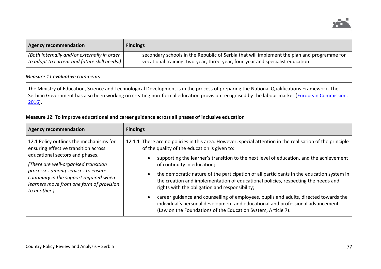

| <b>Agency recommendation</b>                 | <b>Findings</b>                                                                            |
|----------------------------------------------|--------------------------------------------------------------------------------------------|
| (Both internally and/or externally in order  | secondary schools in the Republic of Serbia that will implement the plan and programme for |
| to adapt to current and future skill needs.) | vocational training, two-year, three-year, four-year and specialist education.             |

## *Measure 11 evaluative comments*

The Ministry of Education, Science and Technological Development is in the process of preparing the National Qualifications Framework. The Serbian Government has also been working on creating non-formal education provision recognised by the labour market (European Commission, [2016\)](http://ec.europa.eu/dgs/education_culture/repository/education/events/2016/wbp/higher-education-reform-serbia_en.pdf).

## **Measure 12: To improve educational and career guidance across all phases of inclusive education**

| <b>Agency recommendation</b>                                                                                                                                                                                                                                                                            | <b>Findings</b>                                                                                                                                                                                                                         |  |  |  |
|---------------------------------------------------------------------------------------------------------------------------------------------------------------------------------------------------------------------------------------------------------------------------------------------------------|-----------------------------------------------------------------------------------------------------------------------------------------------------------------------------------------------------------------------------------------|--|--|--|
| 12.1 Policy outlines the mechanisms for<br>ensuring effective transition across<br>educational sectors and phases.<br>(There are well-organised transition<br>processes among services to ensure<br>continuity in the support required when<br>learners move from one form of provision<br>to another.) | 12.1.1 There are no policies in this area. However, special attention in the realisation of the principle<br>of the quality of the education is given to:                                                                               |  |  |  |
|                                                                                                                                                                                                                                                                                                         | supporting the learner's transition to the next level of education, and the achievement<br>of continuity in education;                                                                                                                  |  |  |  |
|                                                                                                                                                                                                                                                                                                         | the democratic nature of the participation of all participants in the education system in<br>the creation and implementation of educational policies, respecting the needs and<br>rights with the obligation and responsibility;        |  |  |  |
|                                                                                                                                                                                                                                                                                                         | career guidance and counselling of employees, pupils and adults, directed towards the<br>individual's personal development and educational and professional advancement<br>(Law on the Foundations of the Education System, Article 7). |  |  |  |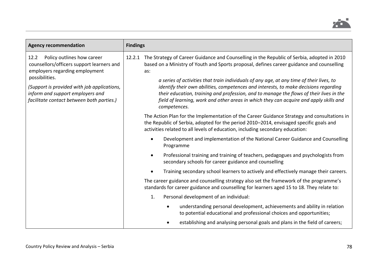

| <b>Agency recommendation</b>                                                                                                                                                                                                                                        | <b>Findings</b>                                                                                                                                                                                                                                                                                                                                                                                                                                                                                                                                                                                   |  |  |  |  |
|---------------------------------------------------------------------------------------------------------------------------------------------------------------------------------------------------------------------------------------------------------------------|---------------------------------------------------------------------------------------------------------------------------------------------------------------------------------------------------------------------------------------------------------------------------------------------------------------------------------------------------------------------------------------------------------------------------------------------------------------------------------------------------------------------------------------------------------------------------------------------------|--|--|--|--|
| Policy outlines how career<br>12.2<br>counsellors/officers support learners and<br>employers regarding employment<br>possibilities.<br>(Support is provided with job applications,<br>inform and support employers and<br>facilitate contact between both parties.) | The Strategy of Career Guidance and Counselling in the Republic of Serbia, adopted in 2010<br>12.2.1<br>based on a Ministry of Youth and Sports proposal, defines career guidance and counselling<br>as:<br>a series of activities that train individuals of any age, at any time of their lives, to<br>identify their own abilities, competences and interests, to make decisions regarding<br>their education, training and profession, and to manage the flows of their lives in the<br>field of learning, work and other areas in which they can acquire and apply skills and<br>competences. |  |  |  |  |
|                                                                                                                                                                                                                                                                     | The Action Plan for the Implementation of the Career Guidance Strategy and consultations in<br>the Republic of Serbia, adopted for the period 2010-2014, envisaged specific goals and<br>activities related to all levels of education, including secondary education:                                                                                                                                                                                                                                                                                                                            |  |  |  |  |
|                                                                                                                                                                                                                                                                     | Development and implementation of the National Career Guidance and Counselling<br>Programme                                                                                                                                                                                                                                                                                                                                                                                                                                                                                                       |  |  |  |  |
|                                                                                                                                                                                                                                                                     | Professional training and training of teachers, pedagogues and psychologists from<br>$\bullet$<br>secondary schools for career guidance and counselling                                                                                                                                                                                                                                                                                                                                                                                                                                           |  |  |  |  |
|                                                                                                                                                                                                                                                                     | Training secondary school learners to actively and effectively manage their careers.                                                                                                                                                                                                                                                                                                                                                                                                                                                                                                              |  |  |  |  |
|                                                                                                                                                                                                                                                                     | The career guidance and counselling strategy also set the framework of the programme's<br>standards for career guidance and counselling for learners aged 15 to 18. They relate to:                                                                                                                                                                                                                                                                                                                                                                                                               |  |  |  |  |
|                                                                                                                                                                                                                                                                     | Personal development of an individual:<br>1.                                                                                                                                                                                                                                                                                                                                                                                                                                                                                                                                                      |  |  |  |  |
|                                                                                                                                                                                                                                                                     | understanding personal development, achievements and ability in relation<br>٠<br>to potential educational and professional choices and opportunities;                                                                                                                                                                                                                                                                                                                                                                                                                                             |  |  |  |  |
|                                                                                                                                                                                                                                                                     | establishing and analysing personal goals and plans in the field of careers;                                                                                                                                                                                                                                                                                                                                                                                                                                                                                                                      |  |  |  |  |